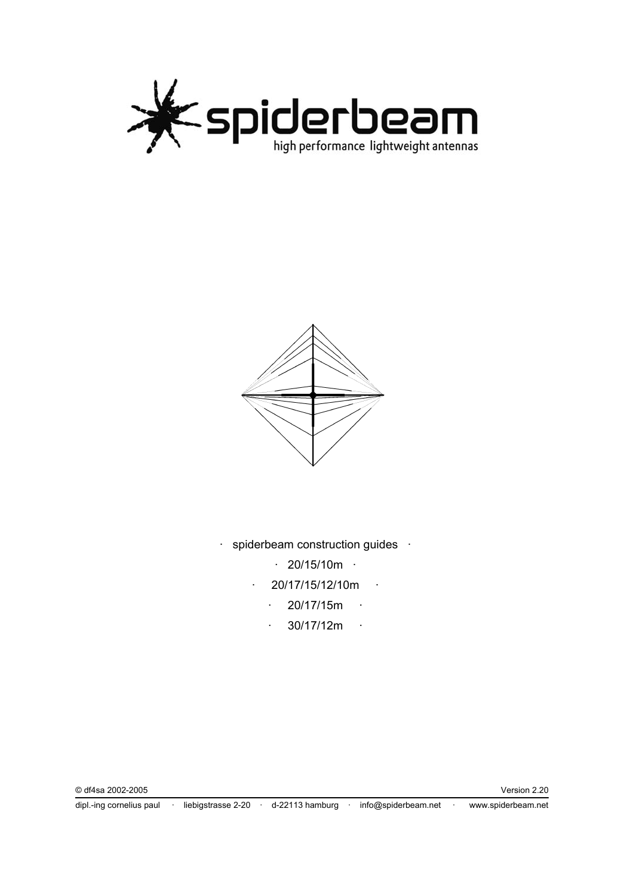



- · spiderbeam construction guides ·
	- $\cdot$  20/15/10m  $\cdot$
	- · 20/17/15/12/10m ·
		- $\cdot$  20/17/15m  $\cdot$
		- $\cdot$  30/17/12m  $\cdot$

dipl.-ing cornelius paul · liebigstrasse 2-20 · d-22113 hamburg · info@spiderbeam.net · www.spiderbeam.net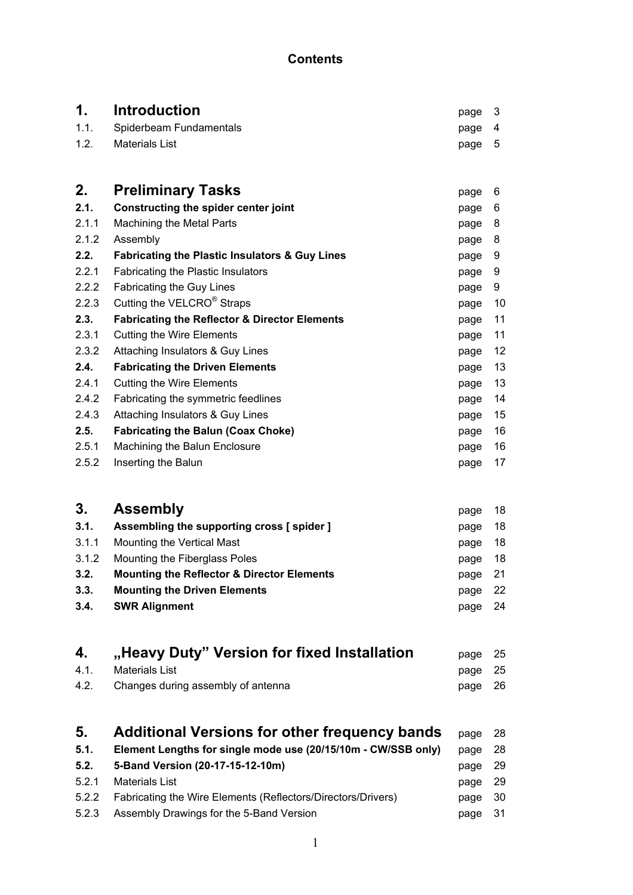# **Contents**

**1.** Introduction **1.** Spiderbeam Fundamentals **1.1.** Spiderbeam Fundamentals **1.1.** Spiderbeam Fundamentals

Spiderbeam Fundamentals extending the state of the page 4

| 1.2.  | <b>Materials List</b>                                         | page | 5  |
|-------|---------------------------------------------------------------|------|----|
|       |                                                               |      |    |
| 2.    | <b>Preliminary Tasks</b>                                      | page | 6  |
| 2.1.  | Constructing the spider center joint                          | page | 6  |
| 2.1.1 | Machining the Metal Parts                                     | page | 8  |
| 2.1.2 | Assembly                                                      | page | 8  |
| 2.2.  | <b>Fabricating the Plastic Insulators &amp; Guy Lines</b>     | page | 9  |
| 2.2.1 | Fabricating the Plastic Insulators                            | page | 9  |
| 2.2.2 | Fabricating the Guy Lines                                     | page | 9  |
| 2.2.3 | Cutting the VELCRO® Straps                                    | page | 10 |
| 2.3.  | <b>Fabricating the Reflector &amp; Director Elements</b>      | page | 11 |
| 2.3.1 | <b>Cutting the Wire Elements</b>                              | page | 11 |
| 2.3.2 | Attaching Insulators & Guy Lines                              | page | 12 |
| 2.4.  | <b>Fabricating the Driven Elements</b>                        | page | 13 |
| 2.4.1 | <b>Cutting the Wire Elements</b>                              | page | 13 |
| 2.4.2 | Fabricating the symmetric feedlines                           | page | 14 |
| 2.4.3 | Attaching Insulators & Guy Lines                              | page | 15 |
| 2.5.  | <b>Fabricating the Balun (Coax Choke)</b>                     | page | 16 |
| 2.5.1 | Machining the Balun Enclosure                                 | page | 16 |
| 2.5.2 | Inserting the Balun                                           | page | 17 |
|       |                                                               |      |    |
| 3.    | <b>Assembly</b>                                               | page | 18 |
| 3.1.  | Assembling the supporting cross [ spider ]                    | page | 18 |
| 3.1.1 | Mounting the Vertical Mast                                    | page | 18 |
| 3.1.2 | Mounting the Fiberglass Poles                                 | page | 18 |
| 3.2.  | <b>Mounting the Reflector &amp; Director Elements</b>         | page | 21 |
| 3.3.  | <b>Mounting the Driven Elements</b>                           | page | 22 |
| 3.4.  | <b>SWR Alignment</b>                                          | page | 24 |
|       |                                                               |      |    |
| 4.    | "Heavy Duty" Version for fixed Installation                   | page | 25 |
| 4.1.  | <b>Materials List</b>                                         | page | 25 |
| 4.2.  | Changes during assembly of antenna                            | page | 26 |
|       |                                                               |      |    |
| 5.    | <b>Additional Versions for other frequency bands</b>          | page | 28 |
| 5.1.  | Element Lengths for single mode use (20/15/10m - CW/SSB only) | page | 28 |
| 5.2.  | 5-Band Version (20-17-15-12-10m)                              | page | 29 |

| U.E. U DUITU TUIUIUI (EU II IU IE IUIII)                           | pago Lu |  |
|--------------------------------------------------------------------|---------|--|
| 5.2.1 Materials List                                               | page 29 |  |
| 5.2.2 Fabricating the Wire Elements (Reflectors/Directors/Drivers) | page 30 |  |
| 5.2.3 Assembly Drawings for the 5-Band Version                     | page 31 |  |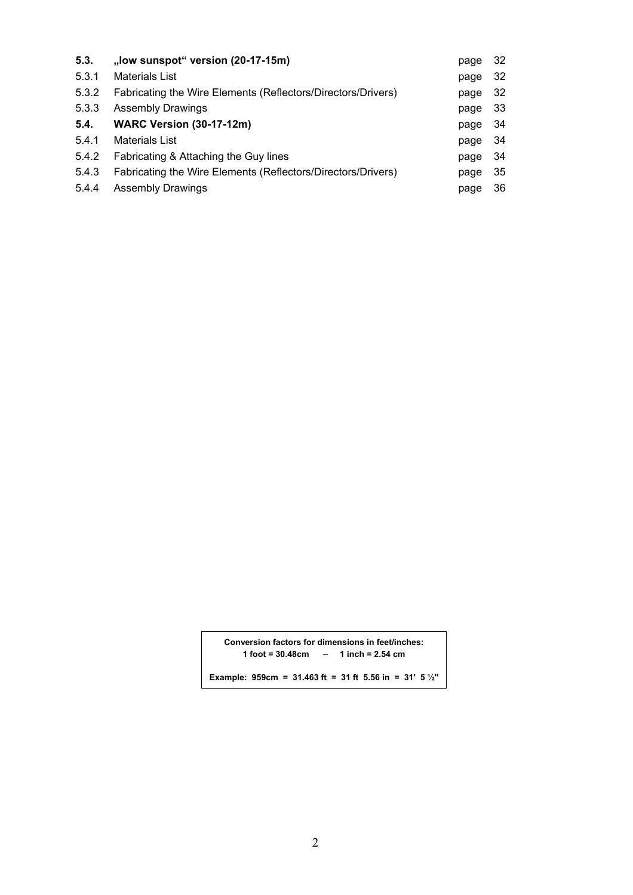| 5.3.  | "low sunspot" version (20-17-15m)                            | page | -32  |
|-------|--------------------------------------------------------------|------|------|
| 5.3.1 | <b>Materials List</b>                                        | page | -32  |
| 5.3.2 | Fabricating the Wire Elements (Reflectors/Directors/Drivers) | page | -32  |
| 5.3.3 | <b>Assembly Drawings</b>                                     | page | - 33 |
| 5.4.  | <b>WARC Version (30-17-12m)</b>                              | page | -34  |
| 5.4.1 | <b>Materials List</b>                                        | page | - 34 |
| 5.4.2 | Fabricating & Attaching the Guy lines                        | page | -34  |
| 5.4.3 | Fabricating the Wire Elements (Reflectors/Directors/Drivers) | page | -35  |
| 5.4.4 | <b>Assembly Drawings</b>                                     | page | 36   |

**Conversion factors for dimensions in feet/inches: 1 foot = 30.48cm – 1 inch = 2.54 cm** 

**Example: 959cm = 31.463 ft = 31 ft 5.56 in = 31' 5 ½''**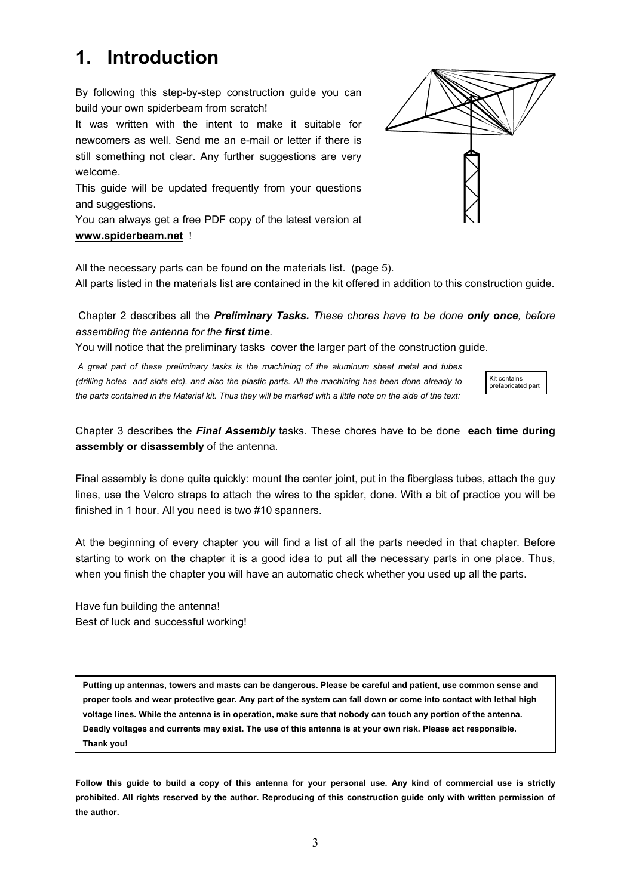# **1. Introduction**

By following this step-by-step construction guide you can build your own spiderbeam from scratch!

It was written with the intent to make it suitable for newcomers as well. Send me an e-mail or letter if there is still something not clear. Any further suggestions are very welcome.

This guide will be updated frequently from your questions and suggestions.

You can always get a free PDF copy of the latest version at **www.spiderbeam.net** !

All the necessary parts can be found on the materials list. (page 5).

All parts listed in the materials list are contained in the kit offered in addition to this construction guide.

### Chapter 2 describes all the *Preliminary Tasks. These chores have to be done only once, before assembling the antenna for the first time.*

You will notice that the preliminary tasks cover the larger part of the construction guide.

 *A great part of these preliminary tasks is the machining of the aluminum sheet metal and tubes (drilling holes and slots etc), and also the plastic parts. All the machining has been done already to the parts contained in the Material kit. Thus they will be marked with a little note on the side of the text:* 

Chapter 3 describes the *Final Assembly* tasks. These chores have to be done **each time during assembly or disassembly** of the antenna.

Final assembly is done quite quickly: mount the center joint, put in the fiberglass tubes, attach the guy lines, use the Velcro straps to attach the wires to the spider, done. With a bit of practice you will be finished in 1 hour. All you need is two #10 spanners.

At the beginning of every chapter you will find a list of all the parts needed in that chapter. Before starting to work on the chapter it is a good idea to put all the necessary parts in one place. Thus, when you finish the chapter you will have an automatic check whether you used up all the parts.

Have fun building the antenna! Best of luck and successful working!

**Putting up antennas, towers and masts can be dangerous. Please be careful and patient, use common sense and proper tools and wear protective gear. Any part of the system can fall down or come into contact with lethal high voltage lines. While the antenna is in operation, make sure that nobody can touch any portion of the antenna. Deadly voltages and currents may exist. The use of this antenna is at your own risk. Please act responsible. Thank you!**

**Follow this guide to build a copy of this antenna for your personal use. Any kind of commercial use is strictly prohibited. All rights reserved by the author. Reproducing of this construction guide only with written permission of the author.** 



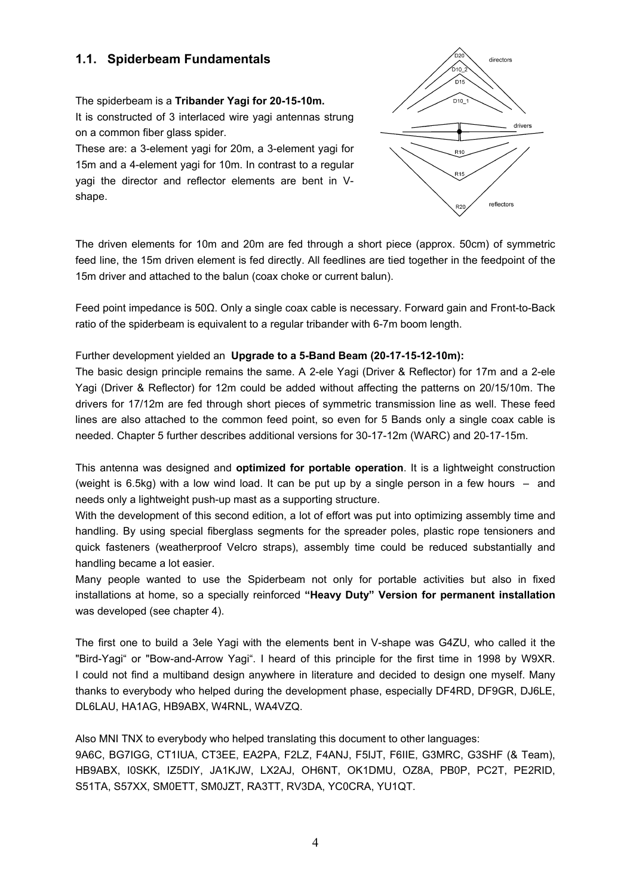# **1.1. Spiderbeam Fundamentals**

The spiderbeam is a **Tribander Yagi for 20-15-10m.** It is constructed of 3 interlaced wire yagi antennas strung on a common fiber glass spider.

These are: a 3-element yagi for 20m, a 3-element yagi for 15m and a 4-element yagi for 10m. In contrast to a regular yagi the director and reflector elements are bent in Vshape.



The driven elements for 10m and 20m are fed through a short piece (approx. 50cm) of symmetric feed line, the 15m driven element is fed directly. All feedlines are tied together in the feedpoint of the 15m driver and attached to the balun (coax choke or current balun).

Feed point impedance is 50Ω. Only a single coax cable is necessary. Forward gain and Front-to-Back ratio of the spiderbeam is equivalent to a regular tribander with 6-7m boom length.

### Further development yielded an **Upgrade to a 5-Band Beam (20-17-15-12-10m):**

The basic design principle remains the same. A 2-ele Yagi (Driver & Reflector) for 17m and a 2-ele Yagi (Driver & Reflector) for 12m could be added without affecting the patterns on 20/15/10m. The drivers for 17/12m are fed through short pieces of symmetric transmission line as well. These feed lines are also attached to the common feed point, so even for 5 Bands only a single coax cable is needed. Chapter 5 further describes additional versions for 30-17-12m (WARC) and 20-17-15m.

This antenna was designed and **optimized for portable operation**. It is a lightweight construction (weight is 6.5kg) with a low wind load. It can be put up by a single person in a few hours  $-$  and needs only a lightweight push-up mast as a supporting structure.

With the development of this second edition, a lot of effort was put into optimizing assembly time and handling. By using special fiberglass segments for the spreader poles, plastic rope tensioners and quick fasteners (weatherproof Velcro straps), assembly time could be reduced substantially and handling became a lot easier.

Many people wanted to use the Spiderbeam not only for portable activities but also in fixed installations at home, so a specially reinforced **"Heavy Duty" Version for permanent installation** was developed (see chapter 4).

The first one to build a 3ele Yagi with the elements bent in V-shape was G4ZU, who called it the "Bird-Yagi" or "Bow-and-Arrow Yagi". I heard of this principle for the first time in 1998 by W9XR. I could not find a multiband design anywhere in literature and decided to design one myself. Many thanks to everybody who helped during the development phase, especially DF4RD, DF9GR, DJ6LE, DL6LAU, HA1AG, HB9ABX, W4RNL, WA4VZQ.

Also MNI TNX to everybody who helped translating this document to other languages: 9A6C, BG7IGG, CT1IUA, CT3EE, EA2PA, F2LZ, F4ANJ, F5IJT, F6IIE, G3MRC, G3SHF (& Team), HB9ABX, I0SKK, IZ5DIY, JA1KJW, LX2AJ, OH6NT, OK1DMU, OZ8A, PB0P, PC2T, PE2RID, S51TA, S57XX, SM0ETT, SM0JZT, RA3TT, RV3DA, YC0CRA, YU1QT.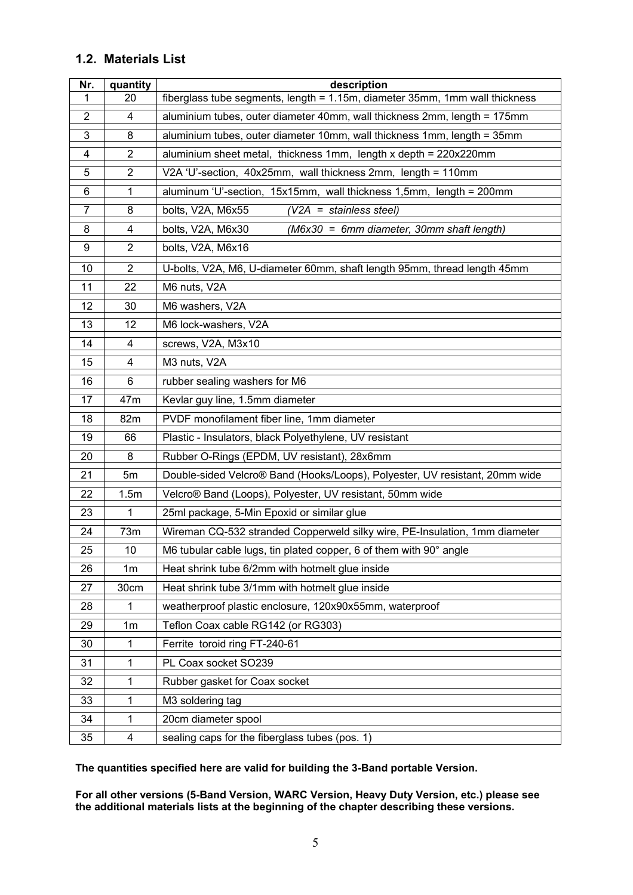# **1.2. Materials List**

| Nr.             | quantity       | description                                                                 |  |  |
|-----------------|----------------|-----------------------------------------------------------------------------|--|--|
| 1               | 20             | fiberglass tube segments, length = 1.15m, diameter 35mm, 1mm wall thickness |  |  |
| $\overline{2}$  | $\overline{4}$ | aluminium tubes, outer diameter 40mm, wall thickness 2mm, length = 175mm    |  |  |
| 3               | 8              | aluminium tubes, outer diameter 10mm, wall thickness 1mm, length = 35mm     |  |  |
| 4               | $\overline{2}$ | aluminium sheet metal, thickness 1mm, length x depth = 220x220mm            |  |  |
| 5               | $\overline{2}$ | V2A 'U'-section, 40x25mm, wall thickness 2mm, length = 110mm                |  |  |
| 6               | $\mathbf{1}$   | aluminum 'U'-section, 15x15mm, wall thickness 1,5mm, length = 200mm         |  |  |
| $\overline{7}$  | 8              | bolts, V2A, M6x55<br>$(V2A = stainless steel)$                              |  |  |
| 8               | 4              | bolts, V2A, M6x30<br>(M6x30 = 6mm diameter, 30mm shaft length)              |  |  |
| 9               | $\overline{2}$ | bolts, V2A, M6x16                                                           |  |  |
| 10              | $\overline{2}$ | U-bolts, V2A, M6, U-diameter 60mm, shaft length 95mm, thread length 45mm    |  |  |
| $\overline{11}$ | 22             | M6 nuts, V2A                                                                |  |  |
| 12              | 30             | M6 washers, V2A                                                             |  |  |
| $\overline{13}$ | 12             | M6 lock-washers, V2A                                                        |  |  |
| 14              | 4              | screws, V2A, M3x10                                                          |  |  |
| 15              | 4              | M3 nuts, V2A                                                                |  |  |
| 16              | 6              | rubber sealing washers for M6                                               |  |  |
| 17              | 47m            | Kevlar guy line, 1.5mm diameter                                             |  |  |
| 18              | 82m            | PVDF monofilament fiber line, 1mm diameter                                  |  |  |
| 19              | 66             | Plastic - Insulators, black Polyethylene, UV resistant                      |  |  |
| 20              | 8              | Rubber O-Rings (EPDM, UV resistant), 28x6mm                                 |  |  |
| 21              | 5m             | Double-sided Velcro® Band (Hooks/Loops), Polyester, UV resistant, 20mm wide |  |  |
| 22              | 1.5m           | Velcro® Band (Loops), Polyester, UV resistant, 50mm wide                    |  |  |
| 23              | 1              | 25ml package, 5-Min Epoxid or similar glue                                  |  |  |
| 24              | 73m            | Wireman CQ-532 stranded Copperweld silky wire, PE-Insulation, 1mm diameter  |  |  |
| 25              | 10             | M6 tubular cable lugs, tin plated copper, 6 of them with 90° angle          |  |  |
| 26              | 1 <sub>m</sub> | Heat shrink tube 6/2mm with hotmelt glue inside                             |  |  |
| 27              | 30cm           | Heat shrink tube 3/1mm with hotmelt glue inside                             |  |  |
| 28              | 1              | weatherproof plastic enclosure, 120x90x55mm, waterproof                     |  |  |
| 29              | 1 <sub>m</sub> | Teflon Coax cable RG142 (or RG303)                                          |  |  |
| 30              | 1              | Ferrite toroid ring FT-240-61                                               |  |  |
| 31              | 1              | PL Coax socket SO239                                                        |  |  |
| 32              | 1              | Rubber gasket for Coax socket                                               |  |  |
| 33              | 1              | M3 soldering tag                                                            |  |  |
| 34              | 1              | 20cm diameter spool                                                         |  |  |
| 35              | 4              | sealing caps for the fiberglass tubes (pos. 1)                              |  |  |

**The quantities specified here are valid for building the 3-Band portable Version.** 

**For all other versions (5-Band Version, WARC Version, Heavy Duty Version, etc.) please see the additional materials lists at the beginning of the chapter describing these versions.**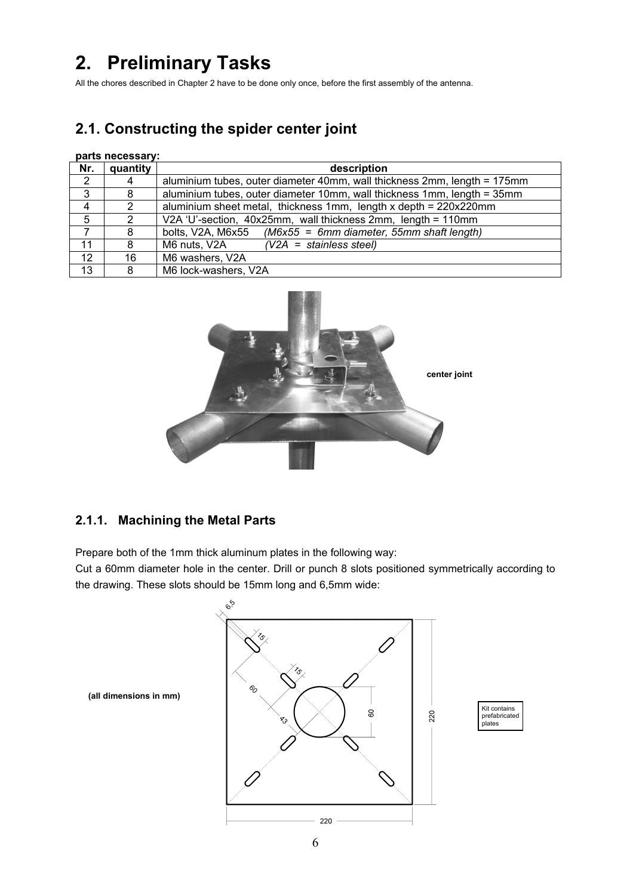# **2. Preliminary Tasks**

All the chores described in Chapter 2 have to be done only once, before the first assembly of the antenna.

# **2.1. Constructing the spider center joint**

#### **parts necessary:**

| Nr.          | quantity      | description                                                              |
|--------------|---------------|--------------------------------------------------------------------------|
| 2            | 4             | aluminium tubes, outer diameter 40mm, wall thickness 2mm, length = 175mm |
| $\mathbf{3}$ | 8             | aluminium tubes, outer diameter 10mm, wall thickness 1mm, length = 35mm  |
| 4            | $\mathcal{P}$ | aluminium sheet metal, thickness 1mm, length x depth = 220x220mm         |
| 5            | 2             | V2A 'U'-section, 40x25mm, wall thickness 2mm, length = 110mm             |
| 7            | 8             | bolts, V2A, M6x55 ( $M6x55 = 6$ mm diameter, 55mm shaft length)          |
| 11           | 8             | M6 nuts, V2A<br>$(V2A = stainless steel)$                                |
| 12           | 16            | M6 washers, V2A                                                          |
| 13           | 8             | M6 lock-washers, V2A                                                     |



# **2.1.1. Machining the Metal Parts**

Prepare both of the 1mm thick aluminum plates in the following way:

Cut a 60mm diameter hole in the center. Drill or punch 8 slots positioned symmetrically according to the drawing. These slots should be 15mm long and 6,5mm wide:

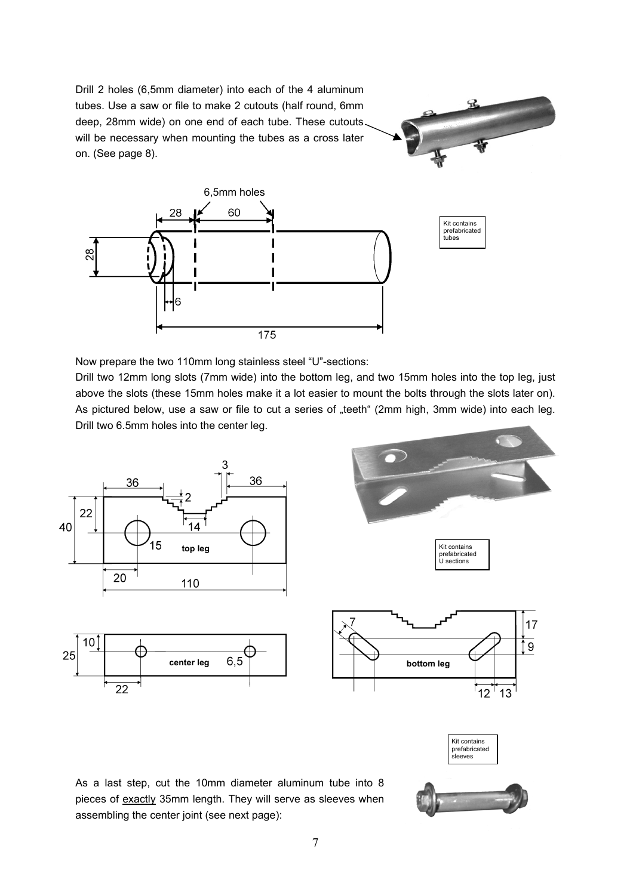Drill 2 holes (6,5mm diameter) into each of the 4 aluminum tubes. Use a saw or file to make 2 cutouts (half round, 6mm deep, 28mm wide) on one end of each tube. These cutouts will be necessary when mounting the tubes as a cross later on. (See page 8).





Now prepare the two 110mm long stainless steel "U"-sections:

Drill two 12mm long slots (7mm wide) into the bottom leg, and two 15mm holes into the top leg, just above the slots (these 15mm holes make it a lot easier to mount the bolts through the slots later on). As pictured below, use a saw or file to cut a series of "teeth" (2mm high, 3mm wide) into each leg. Drill two 6.5mm holes into the center leg.



As a last step, cut the 10mm diameter aluminum tube into 8 pieces of exactly 35mm length. They will serve as sleeves when assembling the center joint (see next page):



prefabricated .<br>sleeves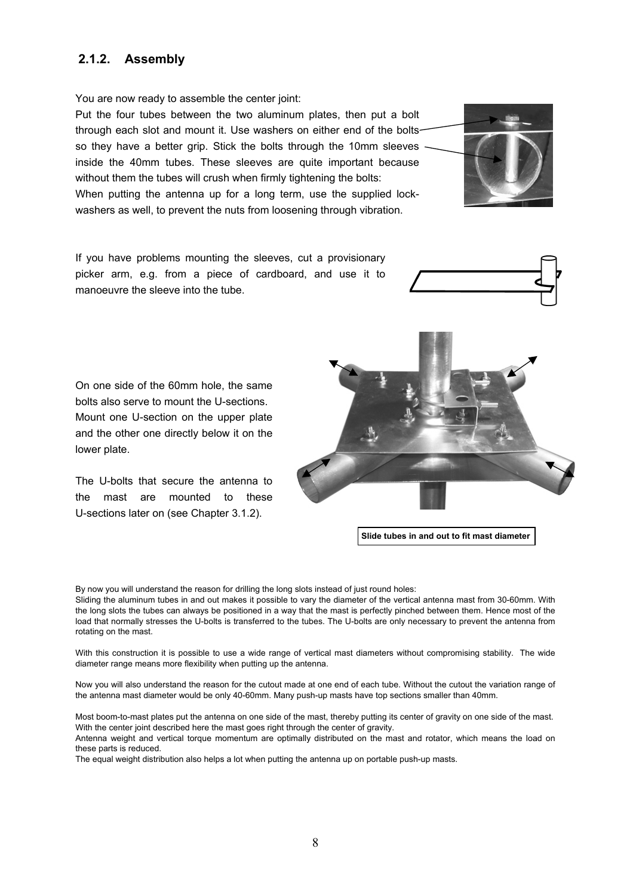### **2.1.2. Assembly**

You are now ready to assemble the center joint:

Put the four tubes between the two aluminum plates, then put a bolt through each slot and mount it. Use washers on either end of the bolts so they have a better grip. Stick the bolts through the 10mm sleeves inside the 40mm tubes. These sleeves are quite important because without them the tubes will crush when firmly tightening the bolts: When putting the antenna up for a long term, use the supplied lockwashers as well, to prevent the nuts from loosening through vibration.

If you have problems mounting the sleeves, cut a provisionary picker arm, e.g. from a piece of cardboard, and use it to manoeuvre the sleeve into the tube.

On one side of the 60mm hole, the same bolts also serve to mount the U-sections. Mount one U-section on the upper plate and the other one directly below it on the lower plate.

The U-bolts that secure the antenna to the mast are mounted to these U-sections later on (see Chapter 3.1.2).

8

By now you will understand the reason for drilling the long slots instead of just round holes: Sliding the aluminum tubes in and out makes it possible to vary the diameter of the vertical antenna mast from 30-60mm. With the long slots the tubes can always be positioned in a way that the mast is perfectly pinched between them. Hence most of the load that normally stresses the U-bolts is transferred to the tubes. The U-bolts are only necessary to prevent the antenna from rotating on the mast.

With this construction it is possible to use a wide range of vertical mast diameters without compromising stability. The wide diameter range means more flexibility when putting up the antenna.

Now you will also understand the reason for the cutout made at one end of each tube. Without the cutout the variation range of the antenna mast diameter would be only 40-60mm. Many push-up masts have top sections smaller than 40mm.

Most boom-to-mast plates put the antenna on one side of the mast, thereby putting its center of gravity on one side of the mast. With the center joint described here the mast goes right through the center of gravity.

Antenna weight and vertical torque momentum are optimally distributed on the mast and rotator, which means the load on these parts is reduced.

The equal weight distribution also helps a lot when putting the antenna up on portable push-up masts.



**Slide tubes in and out to fit mast diameter**



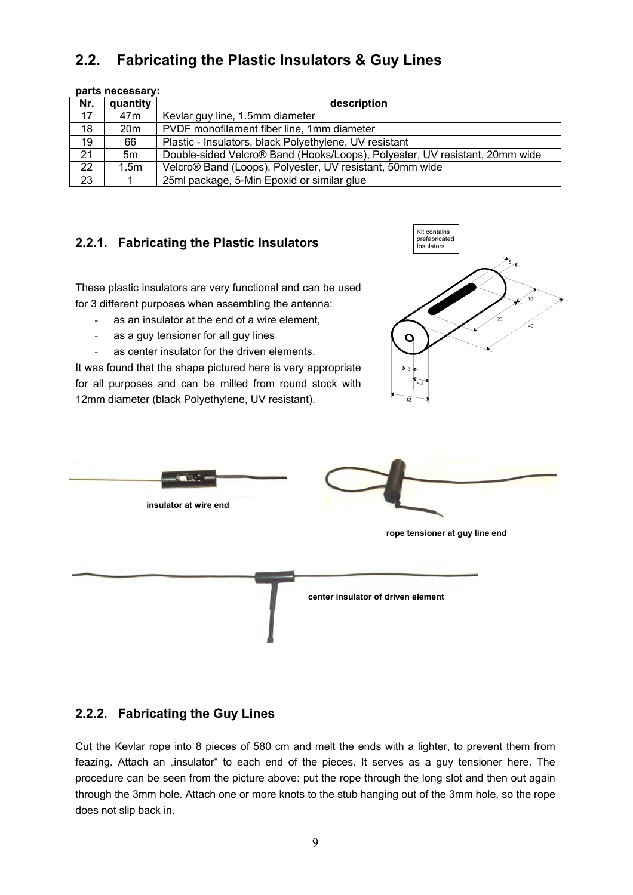# **2.2. Fabricating the Plastic Insulators & Guy Lines**

|                 | parts necessary: |                                                                             |  |  |
|-----------------|------------------|-----------------------------------------------------------------------------|--|--|
| Nr.             | quantity         | description                                                                 |  |  |
| 17              | 47m              | Kevlar guy line, 1.5mm diameter                                             |  |  |
| 18              | 20m              | PVDF monofilament fiber line, 1mm diameter                                  |  |  |
| 19              | 66               | Plastic - Insulators, black Polyethylene, UV resistant                      |  |  |
| 21              | 5m               | Double-sided Velcro® Band (Hooks/Loops), Polyester, UV resistant, 20mm wide |  |  |
| $\overline{22}$ | 1.5m             | Velcro® Band (Loops), Polyester, UV resistant, 50mm wide                    |  |  |
| 23              |                  | 25ml package, 5-Min Epoxid or similar glue                                  |  |  |

### **2.2.1. Fabricating the Plastic Insulators**

These plastic insulators are very functional and can be used for 3 different purposes when assembling the antenna:

- as an insulator at the end of a wire element,
- as a guy tensioner for all guy lines
- as center insulator for the driven elements.

It was found that the shape pictured here is very appropriate for all purposes and can be milled from round stock with 12mm diameter (black Polyethylene, UV resistant).





### **2.2.2. Fabricating the Guy Lines**

Cut the Kevlar rope into 8 pieces of 580 cm and melt the ends with a lighter, to prevent them from feazing. Attach an "insulator" to each end of the pieces. It serves as a guy tensioner here. The procedure can be seen from the picture above: put the rope through the long slot and then out again through the 3mm hole. Attach one or more knots to the stub hanging out of the 3mm hole, so the rope does not slip back in.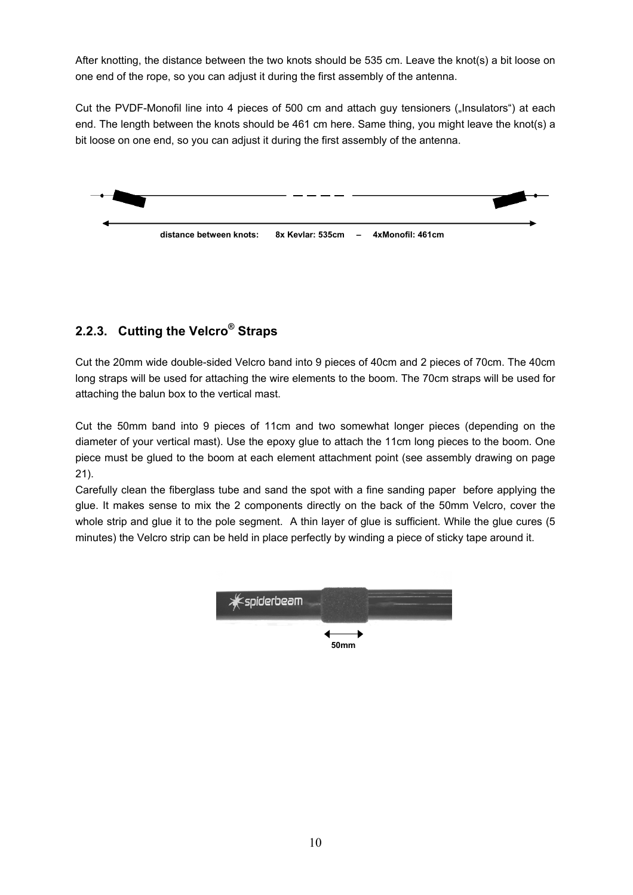After knotting, the distance between the two knots should be 535 cm. Leave the knot(s) a bit loose on one end of the rope, so you can adjust it during the first assembly of the antenna.

Cut the PVDF-Monofil line into 4 pieces of 500 cm and attach guy tensioners ("Insulators") at each end. The length between the knots should be 461 cm here. Same thing, you might leave the knot(s) a bit loose on one end, so you can adjust it during the first assembly of the antenna.



# **2.2.3. Cutting the Velcro® Straps**

Cut the 20mm wide double-sided Velcro band into 9 pieces of 40cm and 2 pieces of 70cm. The 40cm long straps will be used for attaching the wire elements to the boom. The 70cm straps will be used for attaching the balun box to the vertical mast.

Cut the 50mm band into 9 pieces of 11cm and two somewhat longer pieces (depending on the diameter of your vertical mast). Use the epoxy glue to attach the 11cm long pieces to the boom. One piece must be glued to the boom at each element attachment point (see assembly drawing on page 21).

Carefully clean the fiberglass tube and sand the spot with a fine sanding paper before applying the glue. It makes sense to mix the 2 components directly on the back of the 50mm Velcro, cover the whole strip and glue it to the pole segment. A thin layer of glue is sufficient. While the glue cures (5 minutes) the Velcro strip can be held in place perfectly by winding a piece of sticky tape around it.

| <b>Expiderbeam</b> |  |
|--------------------|--|
| <b>50mm</b>        |  |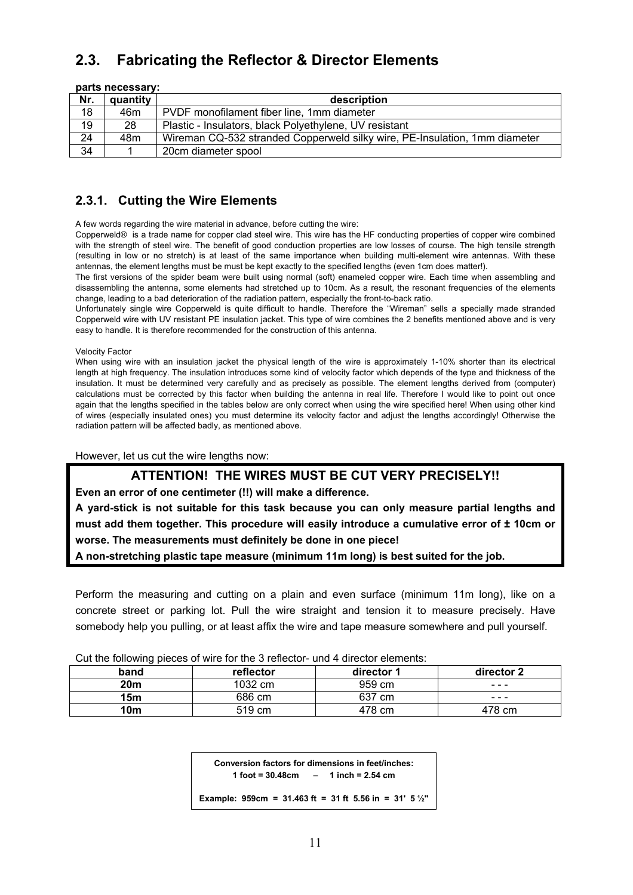# **2.3. Fabricating the Reflector & Director Elements**

|                 | parts necessary: |                                                                            |
|-----------------|------------------|----------------------------------------------------------------------------|
| Nr.             | quantity         | description                                                                |
| 18              | 46m              | PVDF monofilament fiber line, 1mm diameter                                 |
| 19              | 28               | Plastic - Insulators, black Polyethylene, UV resistant                     |
| $\overline{24}$ | 48m              | Wireman CQ-532 stranded Copperweld silky wire, PE-Insulation, 1mm diameter |
| 34              |                  | 20cm diameter spool                                                        |

# **2.3.1. Cutting the Wire Elements**

A few words regarding the wire material in advance, before cutting the wire:

Copperweld® is a trade name for copper clad steel wire. This wire has the HF conducting properties of copper wire combined with the strength of steel wire. The benefit of good conduction properties are low losses of course. The high tensile strength (resulting in low or no stretch) is at least of the same importance when building multi-element wire antennas. With these antennas, the element lengths must be must be kept exactly to the specified lengths (even 1cm does matter!).

The first versions of the spider beam were built using normal (soft) enameled copper wire. Each time when assembling and disassembling the antenna, some elements had stretched up to 10cm. As a result, the resonant frequencies of the elements change, leading to a bad deterioration of the radiation pattern, especially the front-to-back ratio.

Unfortunately single wire Copperweld is quite difficult to handle. Therefore the "Wireman" sells a specially made stranded Copperweld wire with UV resistant PE insulation jacket. This type of wire combines the 2 benefits mentioned above and is very easy to handle. It is therefore recommended for the construction of this antenna.

Velocity Factor

When using wire with an insulation jacket the physical length of the wire is approximately 1-10% shorter than its electrical length at high frequency. The insulation introduces some kind of velocity factor which depends of the type and thickness of the insulation. It must be determined very carefully and as precisely as possible. The element lengths derived from (computer) calculations must be corrected by this factor when building the antenna in real life. Therefore I would like to point out once again that the lengths specified in the tables below are only correct when using the wire specified here! When using other kind of wires (especially insulated ones) you must determine its velocity factor and adjust the lengths accordingly! Otherwise the radiation pattern will be affected badly, as mentioned above.

However, let us cut the wire lengths now:

### **ATTENTION! THE WIRES MUST BE CUT VERY PRECISELY!!**

**Even an error of one centimeter (!!) will make a difference.** 

**A yard-stick is not suitable for this task because you can only measure partial lengths and must add them together. This procedure will easily introduce a cumulative error of ± 10cm or worse. The measurements must definitely be done in one piece!** 

**A non-stretching plastic tape measure (minimum 11m long) is best suited for the job.** 

Perform the measuring and cutting on a plain and even surface (minimum 11m long), like on a concrete street or parking lot. Pull the wire straight and tension it to measure precisely. Have somebody help you pulling, or at least affix the wire and tape measure somewhere and pull yourself.

| <b>Out the following picece of wife for the o follower</b> and + allower cicrificitto. |           |            |            |
|----------------------------------------------------------------------------------------|-----------|------------|------------|
| band                                                                                   | reflector | director 1 | director 2 |
| 20 <sub>m</sub>                                                                        | 1032 cm   | 959 cm     |            |
| 15 <sub>m</sub>                                                                        | 686 cm    | 637 cm     |            |
| 10m                                                                                    | 519 cm    | 478 cm     | 478 cm     |

Cut the following pieces of wire for the 3 reflector- und 4 director elements:

**Conversion factors for dimensions in feet/inches: 1 foot = 30.48cm – 1 inch = 2.54 cm** 

**Example: 959cm = 31.463 ft = 31 ft 5.56 in = 31' 5 ½''**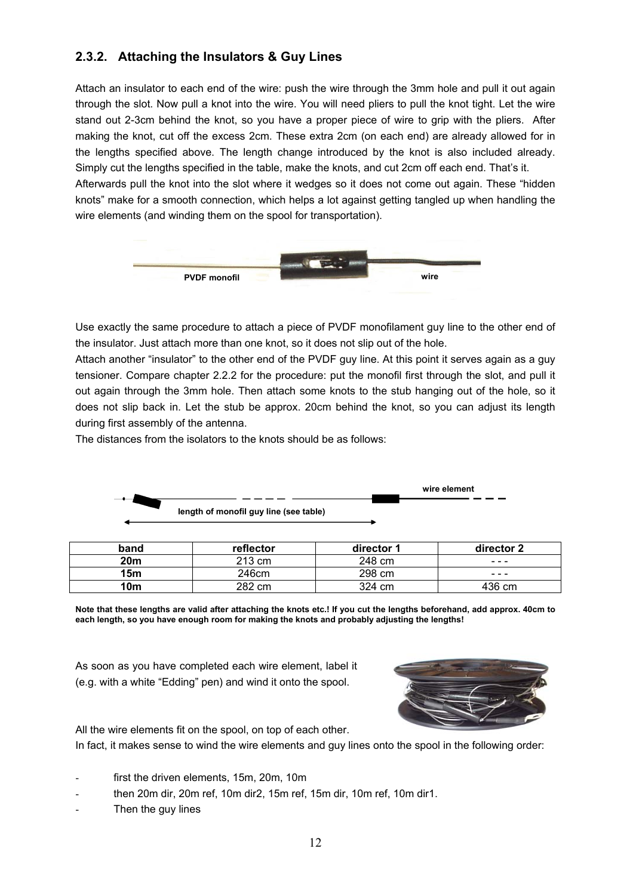# **2.3.2. Attaching the Insulators & Guy Lines**

Attach an insulator to each end of the wire: push the wire through the 3mm hole and pull it out again through the slot. Now pull a knot into the wire. You will need pliers to pull the knot tight. Let the wire stand out 2-3cm behind the knot, so you have a proper piece of wire to grip with the pliers. After making the knot, cut off the excess 2cm. These extra 2cm (on each end) are already allowed for in the lengths specified above. The length change introduced by the knot is also included already. Simply cut the lengths specified in the table, make the knots, and cut 2cm off each end. That's it. Afterwards pull the knot into the slot where it wedges so it does not come out again. These "hidden knots" make for a smooth connection, which helps a lot against getting tangled up when handling the wire elements (and winding them on the spool for transportation).



Use exactly the same procedure to attach a piece of PVDF monofilament guy line to the other end of the insulator. Just attach more than one knot, so it does not slip out of the hole.

Attach another "insulator" to the other end of the PVDF guy line. At this point it serves again as a guy tensioner. Compare chapter 2.2.2 for the procedure: put the monofil first through the slot, and pull it out again through the 3mm hole. Then attach some knots to the stub hanging out of the hole, so it does not slip back in. Let the stub be approx. 20cm behind the knot, so you can adjust its length during first assembly of the antenna.

The distances from the isolators to the knots should be as follows:

|                                        | wire element |
|----------------------------------------|--------------|
| length of monofil guy line (see table) |              |
|                                        |              |

| band            | reflector | director 1 | director 2                                                                                                                                                                                                                                                                                                                                                                                                                                     |
|-----------------|-----------|------------|------------------------------------------------------------------------------------------------------------------------------------------------------------------------------------------------------------------------------------------------------------------------------------------------------------------------------------------------------------------------------------------------------------------------------------------------|
| 20 <sub>m</sub> | 213 cm    | 248 cm     | ---                                                                                                                                                                                                                                                                                                                                                                                                                                            |
| 15 <sub>m</sub> | 246cm     | 298 cm     | $\frac{1}{2} \left( \frac{1}{2} \right) \frac{1}{2} \left( \frac{1}{2} \right) \frac{1}{2} \left( \frac{1}{2} \right) \frac{1}{2} \left( \frac{1}{2} \right) \frac{1}{2} \left( \frac{1}{2} \right) \frac{1}{2} \left( \frac{1}{2} \right) \frac{1}{2} \left( \frac{1}{2} \right) \frac{1}{2} \left( \frac{1}{2} \right) \frac{1}{2} \left( \frac{1}{2} \right) \frac{1}{2} \left( \frac{1}{2} \right) \frac{1}{2} \left( \frac{1}{2} \right)$ |
| 10m             | 282 cm    | 324 cm     | 436 cm                                                                                                                                                                                                                                                                                                                                                                                                                                         |

**Note that these lengths are valid after attaching the knots etc.! If you cut the lengths beforehand, add approx. 40cm to each length, so you have enough room for making the knots and probably adjusting the lengths!** 

As soon as you have completed each wire element, label it (e.g. with a white "Edding" pen) and wind it onto the spool.



All the wire elements fit on the spool, on top of each other.

In fact, it makes sense to wind the wire elements and guy lines onto the spool in the following order:

- first the driven elements, 15m, 20m, 10m
- then 20m dir, 20m ref, 10m dir2, 15m ref, 15m dir, 10m ref, 10m dir1.
- Then the guy lines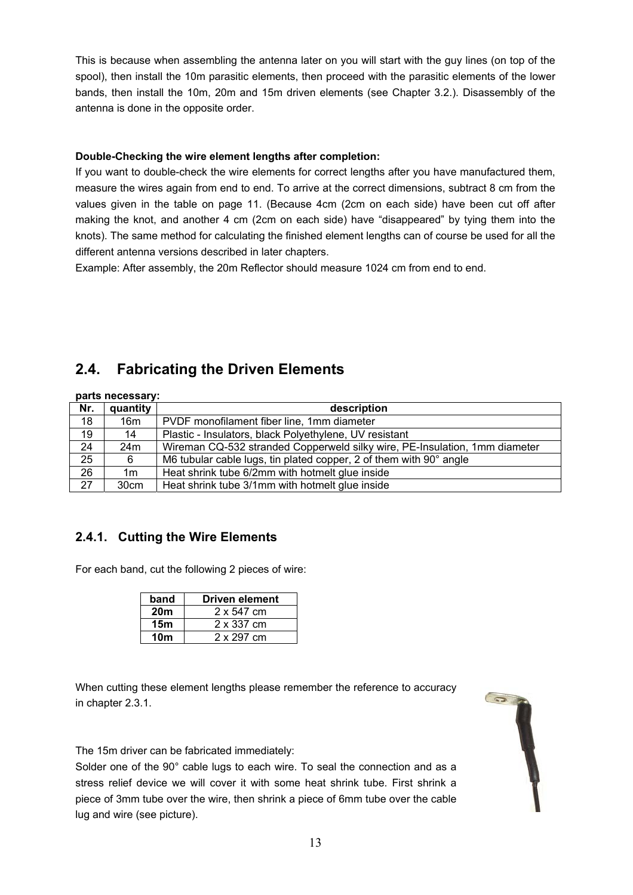This is because when assembling the antenna later on you will start with the guy lines (on top of the spool), then install the 10m parasitic elements, then proceed with the parasitic elements of the lower bands, then install the 10m, 20m and 15m driven elements (see Chapter 3.2.). Disassembly of the antenna is done in the opposite order.

### **Double-Checking the wire element lengths after completion:**

If you want to double-check the wire elements for correct lengths after you have manufactured them, measure the wires again from end to end. To arrive at the correct dimensions, subtract 8 cm from the values given in the table on page 11. (Because 4cm (2cm on each side) have been cut off after making the knot, and another 4 cm (2cm on each side) have "disappeared" by tying them into the knots). The same method for calculating the finished element lengths can of course be used for all the different antenna versions described in later chapters.

Example: After assembly, the 20m Reflector should measure 1024 cm from end to end.

# **2.4. Fabricating the Driven Elements**

| parts necessary: |          |                                                                            |  |
|------------------|----------|----------------------------------------------------------------------------|--|
| Nr.              | quantity | description                                                                |  |
| 18               | 16m      | PVDF monofilament fiber line, 1mm diameter                                 |  |
| 19               | 14       | Plastic - Insulators, black Polyethylene, UV resistant                     |  |
| $\overline{24}$  | 24m      | Wireman CQ-532 stranded Copperweld silky wire, PE-Insulation, 1mm diameter |  |
| 25               | 6        | M6 tubular cable lugs, tin plated copper, 2 of them with 90° angle         |  |
| $\overline{26}$  | 1m       | Heat shrink tube 6/2mm with hotmelt glue inside                            |  |
| $\overline{27}$  | 30cm     | Heat shrink tube 3/1mm with hotmelt glue inside                            |  |

# **2.4.1. Cutting the Wire Elements**

For each band, cut the following 2 pieces of wire:

| band            | <b>Driven element</b> |
|-----------------|-----------------------|
| 20 <sub>m</sub> | 2 x 547 cm            |
| 15m             | 2 x 337 cm            |
| 10 <sub>m</sub> | 2 x 297 cm            |

When cutting these element lengths please remember the reference to accuracy in chapter 2.3.1.

The 15m driver can be fabricated immediately:

Solder one of the 90° cable lugs to each wire. To seal the connection and as a stress relief device we will cover it with some heat shrink tube. First shrink a piece of 3mm tube over the wire, then shrink a piece of 6mm tube over the cable lug and wire (see picture).

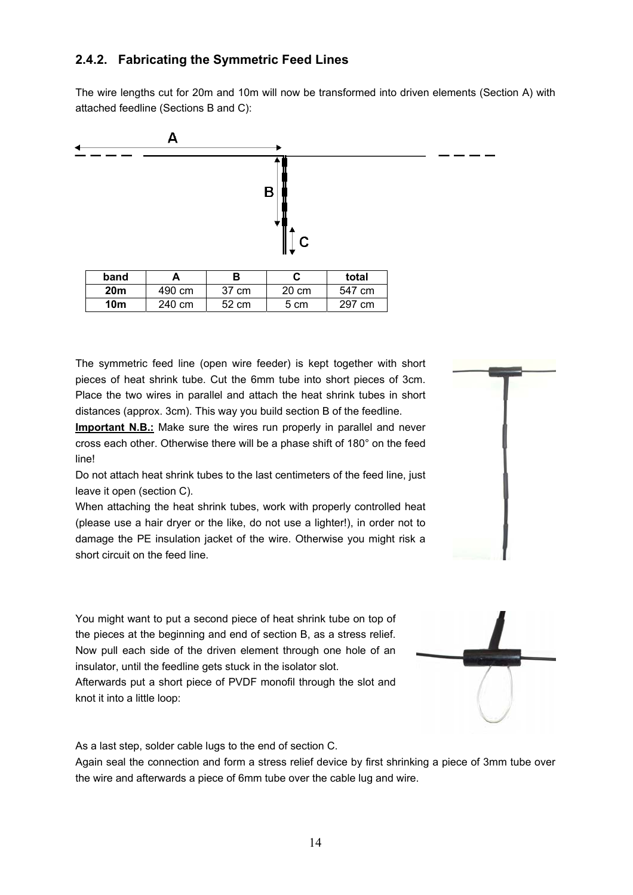# **2.4.2. Fabricating the Symmetric Feed Lines**

The wire lengths cut for 20m and 10m will now be transformed into driven elements (Section A) with attached feedline (Sections B and C):



The symmetric feed line (open wire feeder) is kept together with short pieces of heat shrink tube. Cut the 6mm tube into short pieces of 3cm. Place the two wires in parallel and attach the heat shrink tubes in short distances (approx. 3cm). This way you build section B of the feedline.

**Important N.B.:** Make sure the wires run properly in parallel and never cross each other. Otherwise there will be a phase shift of 180° on the feed line!

Do not attach heat shrink tubes to the last centimeters of the feed line, just leave it open (section C).

When attaching the heat shrink tubes, work with properly controlled heat (please use a hair dryer or the like, do not use a lighter!), in order not to damage the PE insulation jacket of the wire. Otherwise you might risk a short circuit on the feed line.

You might want to put a second piece of heat shrink tube on top of the pieces at the beginning and end of section B, as a stress relief. Now pull each side of the driven element through one hole of an insulator, until the feedline gets stuck in the isolator slot.

Afterwards put a short piece of PVDF monofil through the slot and knot it into a little loop:

As a last step, solder cable lugs to the end of section C.

Again seal the connection and form a stress relief device by first shrinking a piece of 3mm tube over the wire and afterwards a piece of 6mm tube over the cable lug and wire.

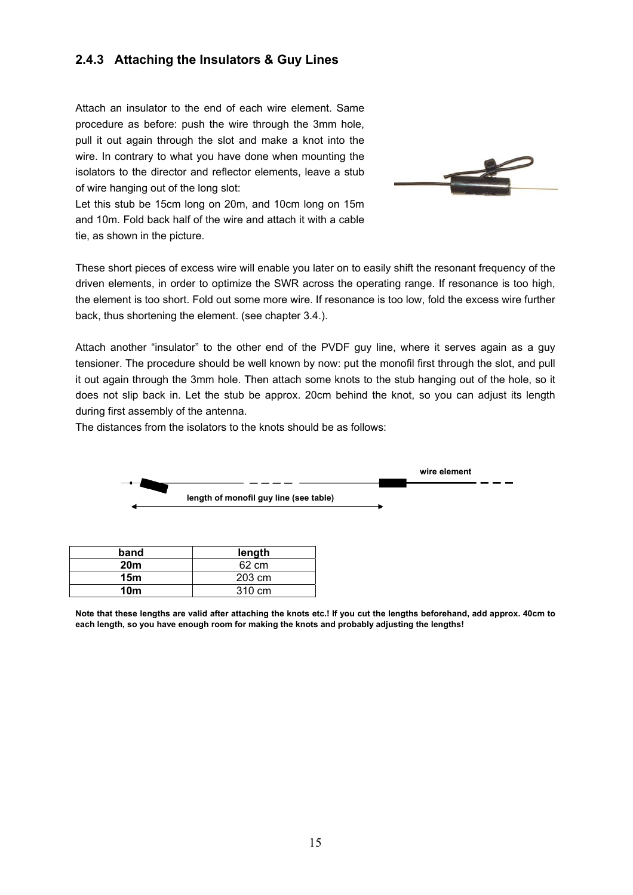### **2.4.3 Attaching the Insulators & Guy Lines**

Attach an insulator to the end of each wire element. Same procedure as before: push the wire through the 3mm hole, pull it out again through the slot and make a knot into the wire. In contrary to what you have done when mounting the isolators to the director and reflector elements, leave a stub of wire hanging out of the long slot:



Let this stub be 15cm long on 20m, and 10cm long on 15m and 10m. Fold back half of the wire and attach it with a cable tie, as shown in the picture.

These short pieces of excess wire will enable you later on to easily shift the resonant frequency of the driven elements, in order to optimize the SWR across the operating range. If resonance is too high, the element is too short. Fold out some more wire. If resonance is too low, fold the excess wire further back, thus shortening the element. (see chapter 3.4.).

Attach another "insulator" to the other end of the PVDF guy line, where it serves again as a guy tensioner. The procedure should be well known by now: put the monofil first through the slot, and pull it out again through the 3mm hole. Then attach some knots to the stub hanging out of the hole, so it does not slip back in. Let the stub be approx. 20cm behind the knot, so you can adjust its length during first assembly of the antenna.

The distances from the isolators to the knots should be as follows:

**15m** 203 cm **10m** 310 cm



**Note that these lengths are valid after attaching the knots etc.! If you cut the lengths beforehand, add approx. 40cm to each length, so you have enough room for making the knots and probably adjusting the lengths!**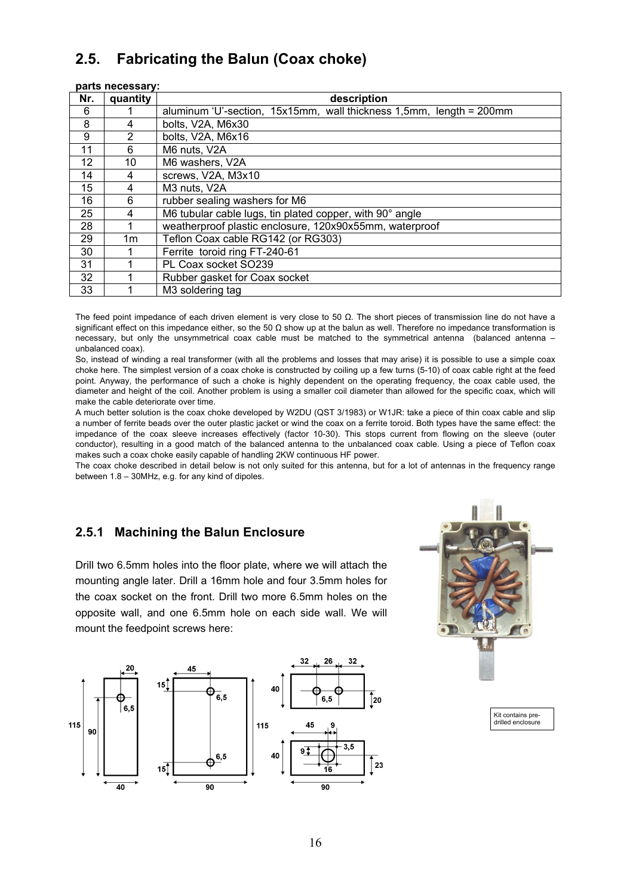# **2.5. Fabricating the Balun (Coax choke)**

| parts necessary: |                |                                                                     |
|------------------|----------------|---------------------------------------------------------------------|
| Nr.              | quantity       | description                                                         |
| 6                |                | aluminum 'U'-section, 15x15mm, wall thickness 1,5mm, length = 200mm |
| 8                | 4              | bolts, V2A, M6x30                                                   |
| 9                | $\overline{2}$ | bolts, V2A, M6x16                                                   |
| 11               | 6              | M6 nuts, V2A                                                        |
| 12               | 10             | M6 washers, V2A                                                     |
| 14               | 4              | screws, V2A, M3x10                                                  |
| 15               | 4              | M3 nuts, V2A                                                        |
| 16               | 6              | rubber sealing washers for M6                                       |
| 25               | 4              | M6 tubular cable lugs, tin plated copper, with 90° angle            |
| 28               |                | weatherproof plastic enclosure, 120x90x55mm, waterproof             |
| 29               | 1m             | Teflon Coax cable RG142 (or RG303)                                  |
| 30               |                | Ferrite toroid ring FT-240-61                                       |
| 31               |                | PL Coax socket SO239                                                |
| 32               |                | Rubber gasket for Coax socket                                       |
| 33               |                | M3 soldering tag                                                    |

The feed point impedance of each driven element is very close to 50  $\Omega$ . The short pieces of transmission line do not have a significant effect on this impedance either, so the 50  $\Omega$  show up at the balun as well. Therefore no impedance transformation is necessary, but only the unsymmetrical coax cable must be matched to the symmetrical antenna (balanced antenna – unbalanced coax).

So, instead of winding a real transformer (with all the problems and losses that may arise) it is possible to use a simple coax choke here. The simplest version of a coax choke is constructed by coiling up a few turns (5-10) of coax cable right at the feed point. Anyway, the performance of such a choke is highly dependent on the operating frequency, the coax cable used, the diameter and height of the coil. Another problem is using a smaller coil diameter than allowed for the specific coax, which will make the cable deteriorate over time.

A much better solution is the coax choke developed by W2DU (QST 3/1983) or W1JR: take a piece of thin coax cable and slip a number of ferrite beads over the outer plastic jacket or wind the coax on a ferrite toroid. Both types have the same effect: the impedance of the coax sleeve increases effectively (factor 10-30). This stops current from flowing on the sleeve (outer conductor), resulting in a good match of the balanced antenna to the unbalanced coax cable. Using a piece of Teflon coax makes such a coax choke easily capable of handling 2KW continuous HF power.

The coax choke described in detail below is not only suited for this antenna, but for a lot of antennas in the frequency range between 1.8 – 30MHz, e.g. for any kind of dipoles.

# **2.5.1 Machining the Balun Enclosure**

Drill two 6.5mm holes into the floor plate, where we will attach the mounting angle later. Drill a 16mm hole and four 3.5mm holes for the coax socket on the front. Drill two more 6.5mm holes on the opposite wall, and one 6.5mm hole on each side wall. We will mount the feedpoint screws here:





Kit contains predrilled enclosure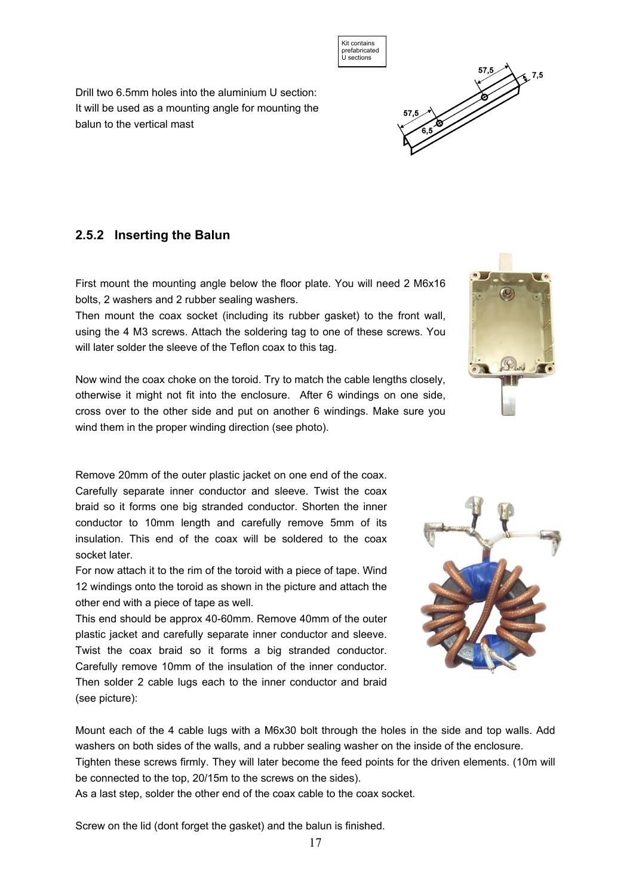Drill two 6.5mm holes into the aluminium U section: It will be used as a mounting angle for mounting the balun to the vertical mast

### **2.5.2 Inserting the Balun**

First mount the mounting angle below the floor plate. You will need 2 M6x16 bolts, 2 washers and 2 rubber sealing washers.

Then mount the coax socket (including its rubber gasket) to the front wall, using the 4 M3 screws. Attach the soldering tag to one of these screws. You will later solder the sleeve of the Teflon coax to this tag.

Now wind the coax choke on the toroid. Try to match the cable lengths closely, otherwise it might not fit into the enclosure. After 6 windings on one side, cross over to the other side and put on another 6 windings. Make sure you wind them in the proper winding direction (see photo).

Remove 20mm of the outer plastic jacket on one end of the coax. Carefully separate inner conductor and sleeve. Twist the coax braid so it forms one big stranded conductor. Shorten the inner conductor to 10mm length and carefully remove 5mm of its insulation. This end of the coax will be soldered to the coax socket later.

For now attach it to the rim of the toroid with a piece of tape. Wind 12 windings onto the toroid as shown in the picture and attach the other end with a piece of tape as well.

This end should be approx 40-60mm. Remove 40mm of the outer plastic jacket and carefully separate inner conductor and sleeve. Twist the coax braid so it forms a big stranded conductor. Carefully remove 10mm of the insulation of the inner conductor. Then solder 2 cable lugs each to the inner conductor and braid (see picture):

Mount each of the 4 cable lugs with a M6x30 bolt through the holes in the side and top walls. Add washers on both sides of the walls, and a rubber sealing washer on the inside of the enclosure. Tighten these screws firmly. They will later become the feed points for the driven elements. (10m will be connected to the top, 20/15m to the screws on the sides).

As a last step, solder the other end of the coax cable to the coax socket.

Screw on the lid (dont forget the gasket) and the balun is finished.







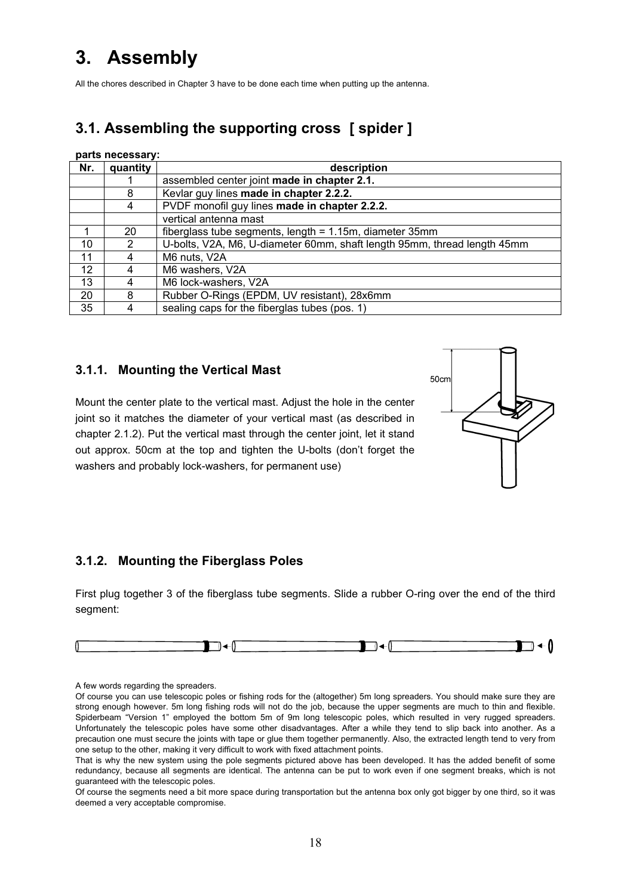# **3. Assembly**

All the chores described in Chapter 3 have to be done each time when putting up the antenna.

# **3.1. Assembling the supporting cross [ spider ]**

#### **parts necessary:**

| Nr. | quantity | description                                                              |
|-----|----------|--------------------------------------------------------------------------|
|     |          | assembled center joint made in chapter 2.1.                              |
|     | 8        | Kevlar guy lines made in chapter 2.2.2.                                  |
|     | 4        | PVDF monofil guy lines made in chapter 2.2.2.                            |
|     |          | vertical antenna mast                                                    |
|     | 20       | fiberglass tube segments, length = $1.15m$ , diameter 35mm               |
| 10  | 2        | U-bolts, V2A, M6, U-diameter 60mm, shaft length 95mm, thread length 45mm |
| 11  |          | M6 nuts, V2A                                                             |
| 12  |          | M6 washers, V2A                                                          |
| 13  | 4        | M6 lock-washers, V2A                                                     |
| 20  | 8        | Rubber O-Rings (EPDM, UV resistant), 28x6mm                              |
| 35  |          | sealing caps for the fiberglas tubes (pos. 1)                            |

### **3.1.1. Mounting the Vertical Mast**

Mount the center plate to the vertical mast. Adjust the hole in the center joint so it matches the diameter of your vertical mast (as described in chapter 2.1.2). Put the vertical mast through the center joint, let it stand out approx. 50cm at the top and tighten the U-bolts (don't forget the washers and probably lock-washers, for permanent use)



### **3.1.2. Mounting the Fiberglass Poles**

First plug together 3 of the fiberglass tube segments. Slide a rubber O-ring over the end of the third segment:



A few words regarding the spreaders.

Of course you can use telescopic poles or fishing rods for the (altogether) 5m long spreaders. You should make sure they are strong enough however. 5m long fishing rods will not do the job, because the upper segments are much to thin and flexible. Spiderbeam "Version 1" employed the bottom 5m of 9m long telescopic poles, which resulted in very rugged spreaders. Unfortunately the telescopic poles have some other disadvantages. After a while they tend to slip back into another. As a precaution one must secure the joints with tape or glue them together permanently. Also, the extracted length tend to very from one setup to the other, making it very difficult to work with fixed attachment points.

That is why the new system using the pole segments pictured above has been developed. It has the added benefit of some redundancy, because all segments are identical. The antenna can be put to work even if one segment breaks, which is not guaranteed with the telescopic poles.

Of course the segments need a bit more space during transportation but the antenna box only got bigger by one third, so it was deemed a very acceptable compromise.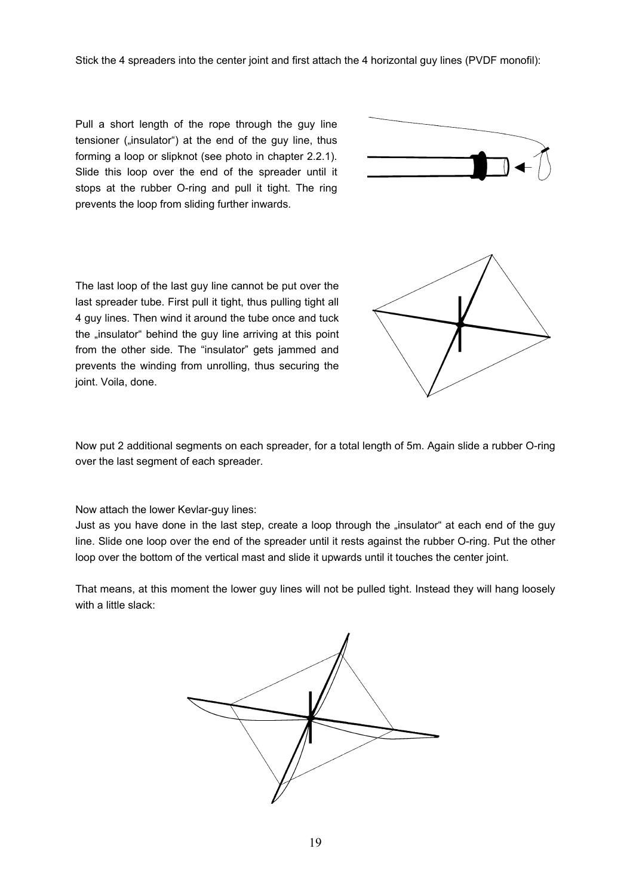Stick the 4 spreaders into the center joint and first attach the 4 horizontal guy lines (PVDF monofil):

Pull a short length of the rope through the guy line tensioner ("insulator") at the end of the guy line, thus forming a loop or slipknot (see photo in chapter 2.2.1). Slide this loop over the end of the spreader until it stops at the rubber O-ring and pull it tight. The ring prevents the loop from sliding further inwards.



The last loop of the last guy line cannot be put over the last spreader tube. First pull it tight, thus pulling tight all 4 guy lines. Then wind it around the tube once and tuck the "insulator" behind the guy line arriving at this point from the other side. The "insulator" gets jammed and prevents the winding from unrolling, thus securing the joint. Voila, done.



Now put 2 additional segments on each spreader, for a total length of 5m. Again slide a rubber O-ring over the last segment of each spreader.

Now attach the lower Kevlar-guy lines:

Just as you have done in the last step, create a loop through the "insulator" at each end of the guy line. Slide one loop over the end of the spreader until it rests against the rubber O-ring. Put the other loop over the bottom of the vertical mast and slide it upwards until it touches the center joint.

That means, at this moment the lower guy lines will not be pulled tight. Instead they will hang loosely with a little slack:

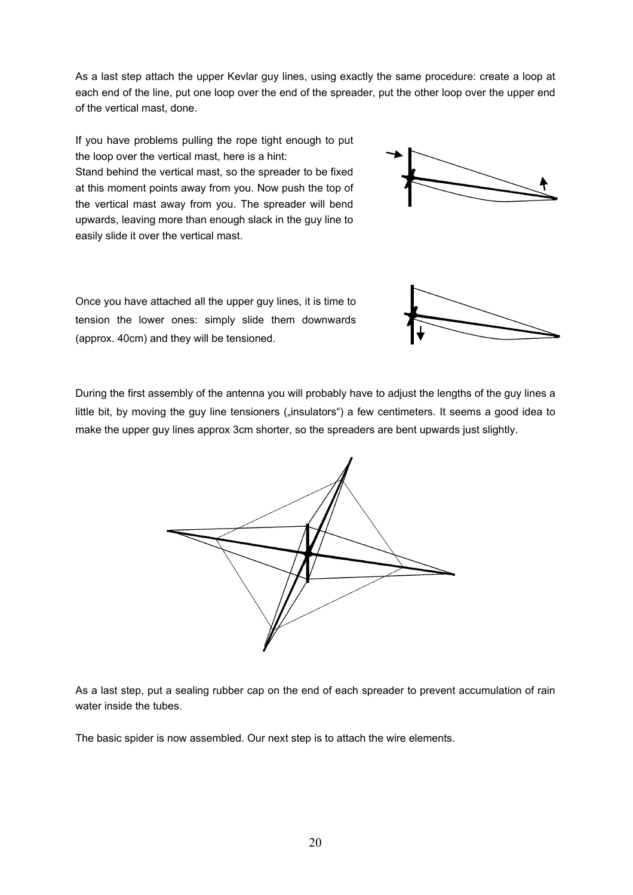As a last step attach the upper Kevlar guy lines, using exactly the same procedure: create a loop at each end of the line, put one loop over the end of the spreader, put the other loop over the upper end of the vertical mast, done.

If you have problems pulling the rope tight enough to put the loop over the vertical mast, here is a hint: Stand behind the vertical mast, so the spreader to be fixed at this moment points away from you. Now push the top of the vertical mast away from you. The spreader will bend upwards, leaving more than enough slack in the guy line to easily slide it over the vertical mast.



During the first assembly of the antenna you will probably have to adjust the lengths of the guy lines a little bit, by moving the guy line tensioners ("insulators") a few centimeters. It seems a good idea to make the upper guy lines approx 3cm shorter, so the spreaders are bent upwards just slightly.



As a last step, put a sealing rubber cap on the end of each spreader to prevent accumulation of rain water inside the tubes.

The basic spider is now assembled. Our next step is to attach the wire elements.



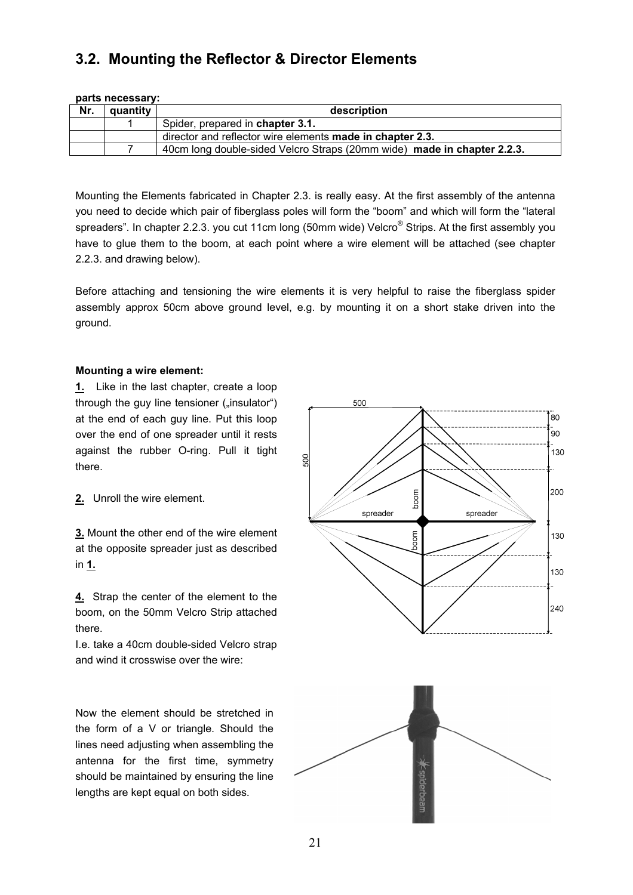# **3.2. Mounting the Reflector & Director Elements**

| parts necessary: |          |                                                                         |  |
|------------------|----------|-------------------------------------------------------------------------|--|
| Nr.              | quantity | description                                                             |  |
|                  |          | Spider, prepared in chapter 3.1.                                        |  |
|                  |          | director and reflector wire elements made in chapter 2.3.               |  |
|                  |          | 40cm long double-sided Velcro Straps (20mm wide) made in chapter 2.2.3. |  |

Mounting the Elements fabricated in Chapter 2.3. is really easy. At the first assembly of the antenna you need to decide which pair of fiberglass poles will form the "boom" and which will form the "lateral spreaders". In chapter 2.2.3. you cut 11cm long (50mm wide) Velcro $^\circ$  Strips. At the first assembly you have to glue them to the boom, at each point where a wire element will be attached (see chapter 2.2.3. and drawing below).

Before attaching and tensioning the wire elements it is very helpful to raise the fiberglass spider assembly approx 50cm above ground level, e.g. by mounting it on a short stake driven into the ground.

#### **Mounting a wire element:**

**1.** Like in the last chapter, create a loop through the guy line tensioner ("insulator") at the end of each guy line. Put this loop over the end of one spreader until it rests against the rubber O-ring. Pull it tight there.

**2.** Unroll the wire element.

**3.** Mount the other end of the wire element at the opposite spreader just as described in **1.**

**4.** Strap the center of the element to the boom, on the 50mm Velcro Strip attached there.

I.e. take a 40cm double-sided Velcro strap and wind it crosswise over the wire:

Now the element should be stretched in the form of a V or triangle. Should the lines need adjusting when assembling the antenna for the first time, symmetry should be maintained by ensuring the line lengths are kept equal on both sides.

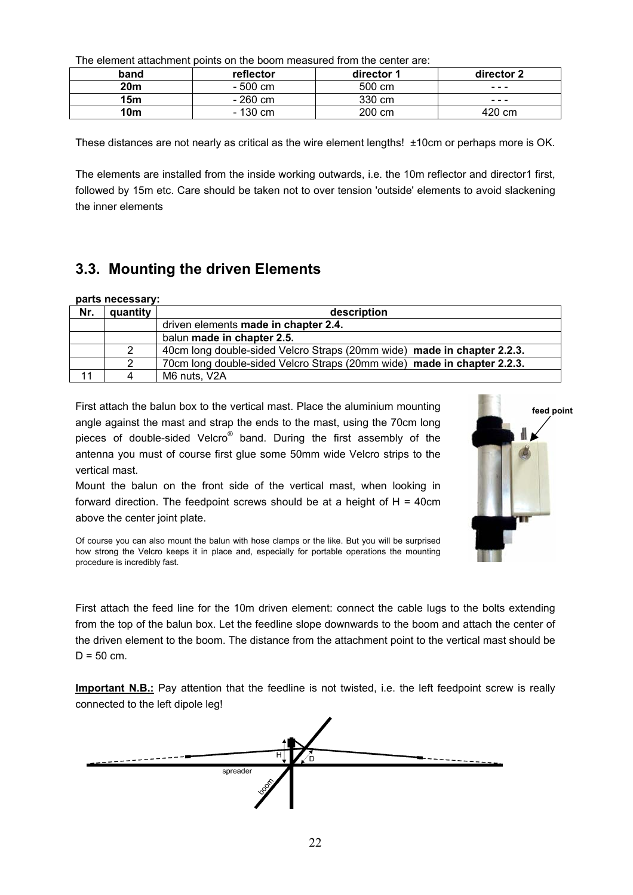The element attachment points on the boom measured from the center are:

| band            | reflector | director 1 | director 2 |
|-----------------|-----------|------------|------------|
| 20m             | $-500$ cm | 500 cm     | ---        |
| 15 <sub>m</sub> | $-260$ cm | 330 cm     | ---        |
| 10 <sub>m</sub> | $-130$ cm | 200 cm     | 420 cm     |

These distances are not nearly as critical as the wire element lengths! ±10cm or perhaps more is OK.

The elements are installed from the inside working outwards, i.e. the 10m reflector and director1 first, followed by 15m etc. Care should be taken not to over tension 'outside' elements to avoid slackening the inner elements

# **3.3. Mounting the driven Elements**

|     | parts necessary: |                                                                         |
|-----|------------------|-------------------------------------------------------------------------|
| Nr. | quantity         | description                                                             |
|     |                  | driven elements made in chapter 2.4.                                    |
|     |                  | balun made in chapter 2.5.                                              |
|     |                  | 40cm long double-sided Velcro Straps (20mm wide) made in chapter 2.2.3. |
|     |                  | 70cm long double-sided Velcro Straps (20mm wide) made in chapter 2.2.3. |
| 11  | 4                | M6 nuts, V2A                                                            |

First attach the balun box to the vertical mast. Place the aluminium mounting angle against the mast and strap the ends to the mast, using the 70cm long pieces of double-sided Velcro<sup>®</sup> band. During the first assembly of the antenna you must of course first glue some 50mm wide Velcro strips to the vertical mast.

Mount the balun on the front side of the vertical mast, when looking in forward direction. The feedpoint screws should be at a height of  $H = 40$ cm above the center joint plate.



Of course you can also mount the balun with hose clamps or the like. But you will be surprised how strong the Velcro keeps it in place and, especially for portable operations the mounting procedure is incredibly fast.

First attach the feed line for the 10m driven element: connect the cable lugs to the bolts extending from the top of the balun box. Let the feedline slope downwards to the boom and attach the center of the driven element to the boom. The distance from the attachment point to the vertical mast should be  $D = 50$  cm.

**Important N.B.:** Pay attention that the feedline is not twisted, i.e. the left feedpoint screw is really connected to the left dipole leg!

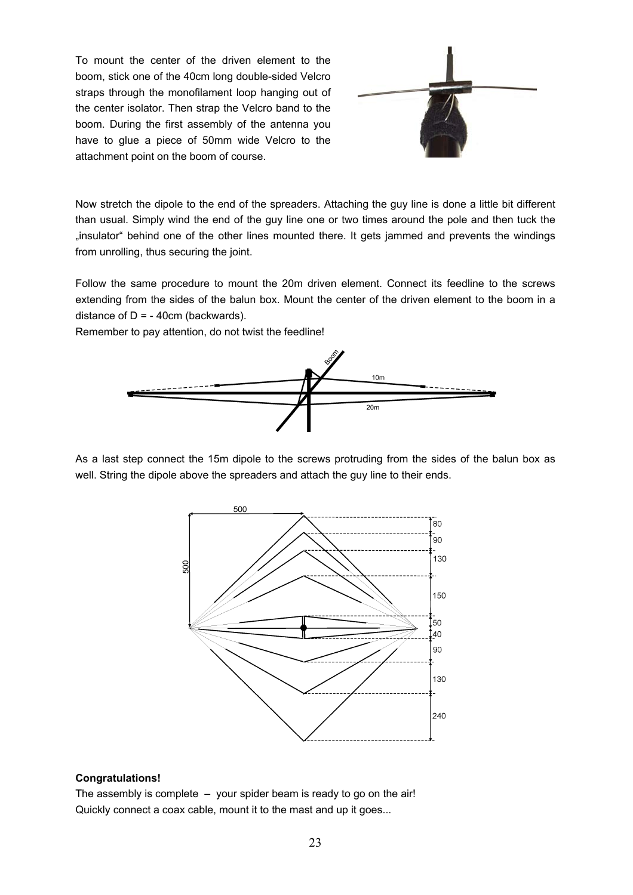To mount the center of the driven element to the boom, stick one of the 40cm long double-sided Velcro straps through the monofilament loop hanging out of the center isolator. Then strap the Velcro band to the boom. During the first assembly of the antenna you have to glue a piece of 50mm wide Velcro to the attachment point on the boom of course.



Now stretch the dipole to the end of the spreaders. Attaching the guy line is done a little bit different than usual. Simply wind the end of the guy line one or two times around the pole and then tuck the "insulator" behind one of the other lines mounted there. It gets jammed and prevents the windings from unrolling, thus securing the joint.

Follow the same procedure to mount the 20m driven element. Connect its feedline to the screws extending from the sides of the balun box. Mount the center of the driven element to the boom in a distance of  $D = -40$ cm (backwards).

Remember to pay attention, do not twist the feedline!



As a last step connect the 15m dipole to the screws protruding from the sides of the balun box as well. String the dipole above the spreaders and attach the guy line to their ends.



#### **Congratulations!**

The assembly is complete – your spider beam is ready to go on the air! Quickly connect a coax cable, mount it to the mast and up it goes...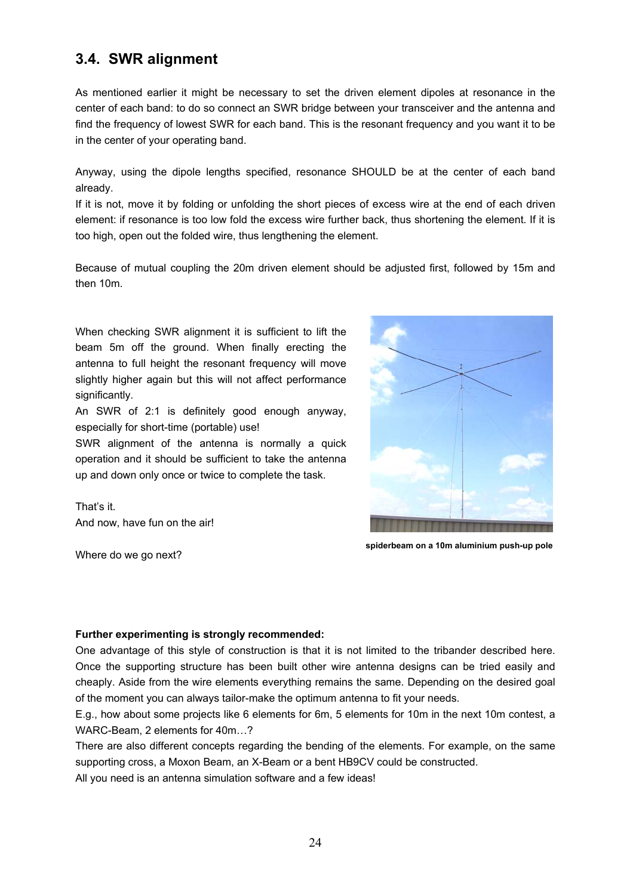# **3.4. SWR alignment**

As mentioned earlier it might be necessary to set the driven element dipoles at resonance in the center of each band: to do so connect an SWR bridge between your transceiver and the antenna and find the frequency of lowest SWR for each band. This is the resonant frequency and you want it to be in the center of your operating band.

Anyway, using the dipole lengths specified, resonance SHOULD be at the center of each band already.

If it is not, move it by folding or unfolding the short pieces of excess wire at the end of each driven element: if resonance is too low fold the excess wire further back, thus shortening the element. If it is too high, open out the folded wire, thus lengthening the element.

Because of mutual coupling the 20m driven element should be adjusted first, followed by 15m and then 10m.

When checking SWR alignment it is sufficient to lift the beam 5m off the ground. When finally erecting the antenna to full height the resonant frequency will move slightly higher again but this will not affect performance significantly.

An SWR of 2:1 is definitely good enough anyway, especially for short-time (portable) use!

SWR alignment of the antenna is normally a quick operation and it should be sufficient to take the antenna up and down only once or twice to complete the task.

That's it. And now, have fun on the air!

Where do we go next?



**spiderbeam on a 10m aluminium push-up pole**

#### **Further experimenting is strongly recommended:**

One advantage of this style of construction is that it is not limited to the tribander described here. Once the supporting structure has been built other wire antenna designs can be tried easily and cheaply. Aside from the wire elements everything remains the same. Depending on the desired goal of the moment you can always tailor-make the optimum antenna to fit your needs.

E.g., how about some projects like 6 elements for 6m, 5 elements for 10m in the next 10m contest, a WARC-Beam, 2 elements for 40m…?

There are also different concepts regarding the bending of the elements. For example, on the same supporting cross, a Moxon Beam, an X-Beam or a bent HB9CV could be constructed.

All you need is an antenna simulation software and a few ideas!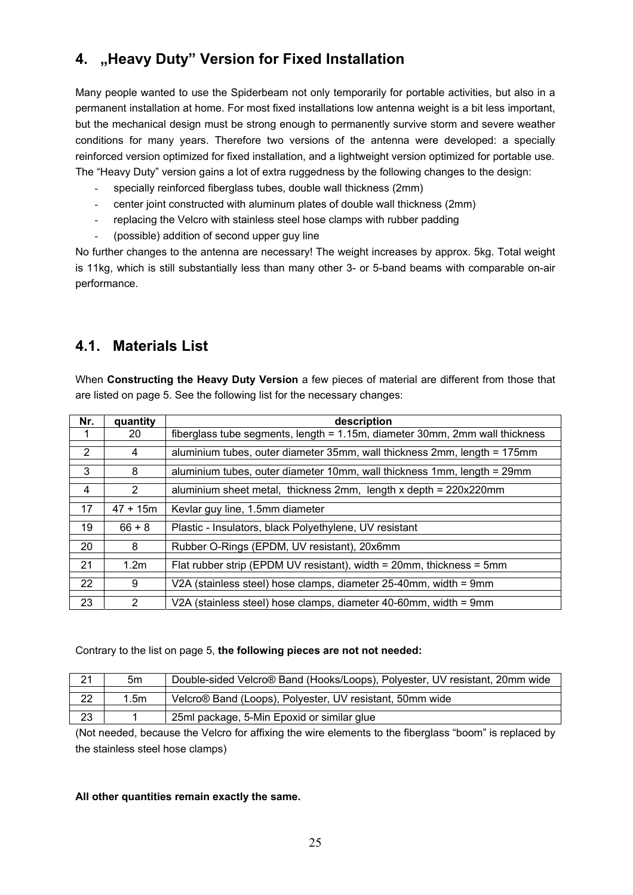# **4. "Heavy Duty" Version for Fixed Installation**

Many people wanted to use the Spiderbeam not only temporarily for portable activities, but also in a permanent installation at home. For most fixed installations low antenna weight is a bit less important, but the mechanical design must be strong enough to permanently survive storm and severe weather conditions for many years. Therefore two versions of the antenna were developed: a specially reinforced version optimized for fixed installation, and a lightweight version optimized for portable use. The "Heavy Duty" version gains a lot of extra ruggedness by the following changes to the design:

- specially reinforced fiberglass tubes, double wall thickness (2mm)
- center joint constructed with aluminum plates of double wall thickness (2mm)
- replacing the Velcro with stainless steel hose clamps with rubber padding
- (possible) addition of second upper guy line

No further changes to the antenna are necessary! The weight increases by approx. 5kg. Total weight is 11kg, which is still substantially less than many other 3- or 5-band beams with comparable on-air performance.

# **4.1. Materials List**

When **Constructing the Heavy Duty Version** a few pieces of material are different from those that are listed on page 5. See the following list for the necessary changes:

| Nr. | quantity         | description                                                                 |
|-----|------------------|-----------------------------------------------------------------------------|
|     | 20               | fiberglass tube segments, length = 1.15m, diameter 30mm, 2mm wall thickness |
| 2   | 4                | aluminium tubes, outer diameter 35mm, wall thickness 2mm, length = 175mm    |
|     |                  |                                                                             |
| 3   | 8                | aluminium tubes, outer diameter 10mm, wall thickness 1mm, length = 29mm     |
| 4   | $\overline{2}$   | aluminium sheet metal, thickness 2mm, length x depth = 220x220mm            |
| 17  | $47 + 15m$       | Kevlar guy line, 1.5mm diameter                                             |
|     |                  |                                                                             |
| 19  | $66 + 8$         | Plastic - Insulators, black Polyethylene, UV resistant                      |
|     |                  |                                                                             |
| 20  | 8                | Rubber O-Rings (EPDM, UV resistant), 20x6mm                                 |
|     |                  |                                                                             |
| 21  | 1.2 <sub>m</sub> | Flat rubber strip (EPDM UV resistant), width = $20$ mm, thickness = $5$ mm  |
|     |                  |                                                                             |
| 22  | 9                | V2A (stainless steel) hose clamps, diameter 25-40mm, width = 9mm            |
|     |                  |                                                                             |
| 23  | 2                | V2A (stainless steel) hose clamps, diameter 40-60mm, width = 9mm            |

### Contrary to the list on page 5, **the following pieces are not not needed:**

| 21 | 5m               | Double-sided Velcro® Band (Hooks/Loops), Polyester, UV resistant, 20mm wide |
|----|------------------|-----------------------------------------------------------------------------|
|    |                  |                                                                             |
| 22 | 1.5 <sub>m</sub> | Velcro® Band (Loops), Polyester, UV resistant, 50mm wide                    |
|    |                  |                                                                             |
| 23 |                  | 25ml package, 5-Min Epoxid or similar glue                                  |

(Not needed, because the Velcro for affixing the wire elements to the fiberglass "boom" is replaced by the stainless steel hose clamps)

### **All other quantities remain exactly the same.**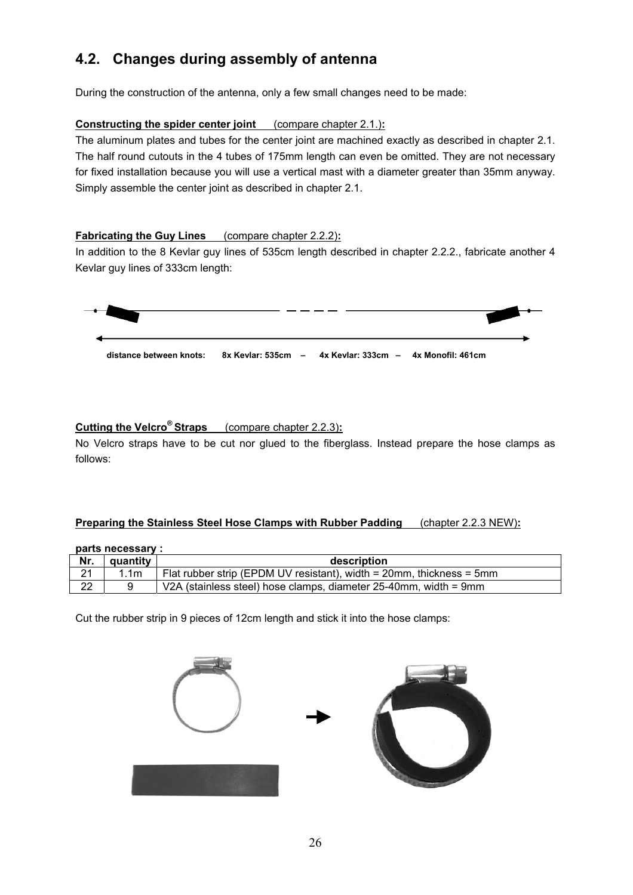# **4.2. Changes during assembly of antenna**

During the construction of the antenna, only a few small changes need to be made:

### **Constructing the spider center joint** (compare chapter 2.1.)**:**

The aluminum plates and tubes for the center joint are machined exactly as described in chapter 2.1. The half round cutouts in the 4 tubes of 175mm length can even be omitted. They are not necessary for fixed installation because you will use a vertical mast with a diameter greater than 35mm anyway. Simply assemble the center joint as described in chapter 2.1.

### **Fabricating the Guy Lines** (compare chapter 2.2.2)**:**

In addition to the 8 Kevlar guy lines of 535cm length described in chapter 2.2.2., fabricate another 4 Kevlar guy lines of 333cm length:



### **Cutting the Velcro® Straps** (compare chapter 2.2.3)**:**

No Velcro straps have to be cut nor glued to the fiberglass. Instead prepare the hose clamps as follows:

#### **Preparing the Stainless Steel Hose Clamps with Rubber Padding** (chapter 2.2.3 NEW)**:**

|     | parts necessary : |                                                                            |
|-----|-------------------|----------------------------------------------------------------------------|
| Nr. | quantity          | description                                                                |
| 21  | 1.1 <sub>m</sub>  | Flat rubber strip (EPDM UV resistant), width = $20$ mm, thickness = $5$ mm |
| 22  |                   | V2A (stainless steel) hose clamps, diameter 25-40mm, width = 9mm           |

Cut the rubber strip in 9 pieces of 12cm length and stick it into the hose clamps:

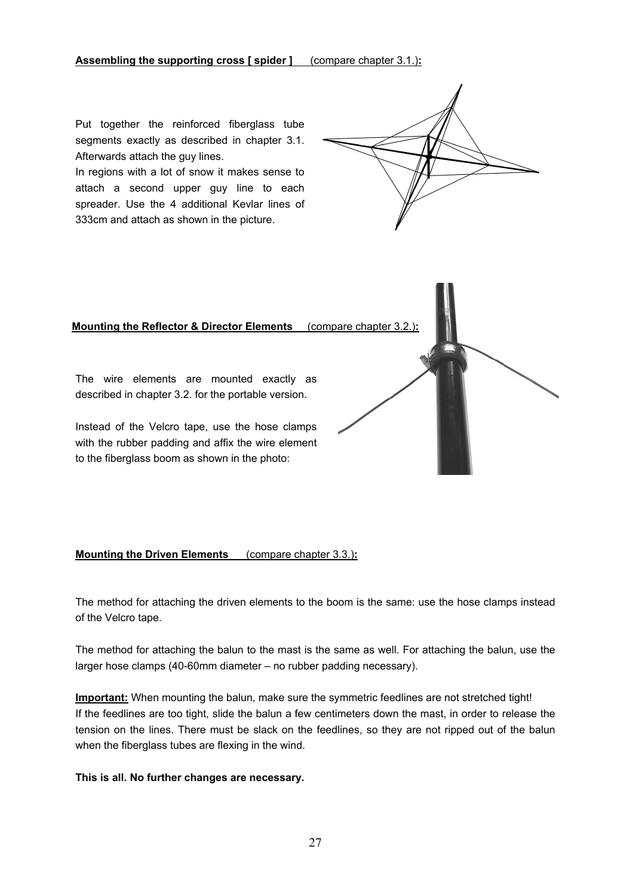Put together the reinforced fiberglass tube segments exactly as described in chapter 3.1. Afterwards attach the guy lines.

In regions with a lot of snow it makes sense to attach a second upper guy line to each spreader. Use the 4 additional Kevlar lines of 333cm and attach as shown in the picture.



#### **Mounting the Reflector & Director Elements** (compare chapter 3.2.)**:**

The wire elements are mounted exactly as described in chapter 3.2. for the portable version.

Instead of the Velcro tape, use the hose clamps with the rubber padding and affix the wire element to the fiberglass boom as shown in the photo:

#### **Mounting the Driven Elements** (compare chapter 3.3.)**:**

The method for attaching the driven elements to the boom is the same: use the hose clamps instead of the Velcro tape.

The method for attaching the balun to the mast is the same as well. For attaching the balun, use the larger hose clamps (40-60mm diameter – no rubber padding necessary).

**Important:** When mounting the balun, make sure the symmetric feedlines are not stretched tight! If the feedlines are too tight, slide the balun a few centimeters down the mast, in order to release the tension on the lines. There must be slack on the feedlines, so they are not ripped out of the balun when the fiberglass tubes are flexing in the wind.

#### **This is all. No further changes are necessary.**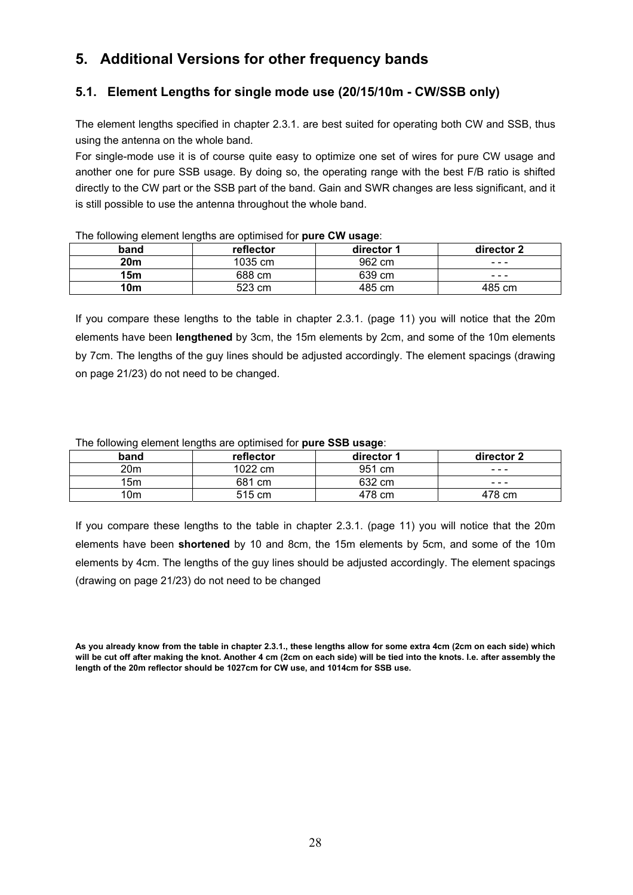# **5. Additional Versions for other frequency bands**

### **5.1. Element Lengths for single mode use (20/15/10m - CW/SSB only)**

The element lengths specified in chapter 2.3.1. are best suited for operating both CW and SSB, thus using the antenna on the whole band.

For single-mode use it is of course quite easy to optimize one set of wires for pure CW usage and another one for pure SSB usage. By doing so, the operating range with the best F/B ratio is shifted directly to the CW part or the SSB part of the band. Gain and SWR changes are less significant, and it is still possible to use the antenna throughout the whole band.

| . .        |           | . .        |            |
|------------|-----------|------------|------------|
| band       | reflector | director 1 | director 2 |
| <b>20m</b> | 1035 cm   | 962 cm     | ---        |
| 15m        | 688 cm    | 639 cm     | ---        |
| 10m        | 523 cm    | 485 cm     | 485 cm     |

#### The following element lengths are optimised for **pure CW usage**:

If you compare these lengths to the table in chapter 2.3.1. (page 11) you will notice that the 20m elements have been **lengthened** by 3cm, the 15m elements by 2cm, and some of the 10m elements by 7cm. The lengths of the guy lines should be adjusted accordingly. The element spacings (drawing on page 21/23) do not need to be changed.

The following element lengths are optimised for **pure SSB usage**:

| band            | reflector | director 1 | director 2 |
|-----------------|-----------|------------|------------|
| 20m             | 1022 cm   | 951 cm     | ---        |
| 15 <sub>m</sub> | 681 cm    | 632 cm     | ---        |
| 10m             | 515 cm    | 478 cm     | 478 cm     |

If you compare these lengths to the table in chapter 2.3.1. (page 11) you will notice that the 20m elements have been **shortened** by 10 and 8cm, the 15m elements by 5cm, and some of the 10m elements by 4cm. The lengths of the guy lines should be adjusted accordingly. The element spacings (drawing on page 21/23) do not need to be changed

**As you already know from the table in chapter 2.3.1., these lengths allow for some extra 4cm (2cm on each side) which will be cut off after making the knot. Another 4 cm (2cm on each side) will be tied into the knots. I.e. after assembly the length of the 20m reflector should be 1027cm for CW use, and 1014cm for SSB use.**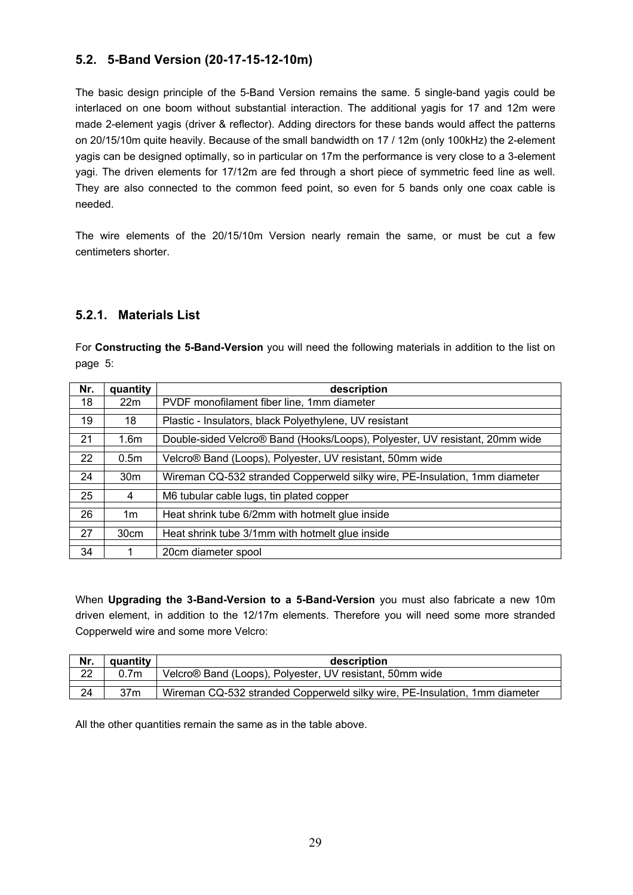# **5.2. 5-Band Version (20-17-15-12-10m)**

The basic design principle of the 5-Band Version remains the same. 5 single-band yagis could be interlaced on one boom without substantial interaction. The additional yagis for 17 and 12m were made 2-element yagis (driver & reflector). Adding directors for these bands would affect the patterns on 20/15/10m quite heavily. Because of the small bandwidth on 17 / 12m (only 100kHz) the 2-element yagis can be designed optimally, so in particular on 17m the performance is very close to a 3-element yagi. The driven elements for 17/12m are fed through a short piece of symmetric feed line as well. They are also connected to the common feed point, so even for 5 bands only one coax cable is needed.

The wire elements of the 20/15/10m Version nearly remain the same, or must be cut a few centimeters shorter.

### **5.2.1. Materials List**

For **Constructing the 5-Band-Version** you will need the following materials in addition to the list on page 5:

| Nr. | quantity         | description                                                                 |
|-----|------------------|-----------------------------------------------------------------------------|
| 18  | 22m              | PVDF monofilament fiber line, 1mm diameter                                  |
|     |                  |                                                                             |
| 19  | 18               | Plastic - Insulators, black Polyethylene, UV resistant                      |
|     |                  |                                                                             |
| 21  | 1.6 <sub>m</sub> | Double-sided Velcro® Band (Hooks/Loops), Polyester, UV resistant, 20mm wide |
|     |                  |                                                                             |
| 22  | 0.5 <sub>m</sub> | Velcro® Band (Loops), Polyester, UV resistant, 50mm wide                    |
|     |                  |                                                                             |
| 24  | 30 <sub>m</sub>  | Wireman CQ-532 stranded Copperweld silky wire, PE-Insulation, 1mm diameter  |
|     |                  |                                                                             |
| 25  | 4                | M6 tubular cable lugs, tin plated copper                                    |
|     |                  |                                                                             |
| 26  | 1 <sub>m</sub>   | Heat shrink tube 6/2mm with hotmelt glue inside                             |
|     |                  |                                                                             |
| 27  | 30cm             | Heat shrink tube 3/1mm with hotmelt glue inside                             |
|     |                  |                                                                             |
| 34  |                  | 20cm diameter spool                                                         |

When **Upgrading the 3-Band-Version to a 5-Band-Version** you must also fabricate a new 10m driven element, in addition to the 12/17m elements. Therefore you will need some more stranded Copperweld wire and some more Velcro:

| Nr. | quantity         | description                                                                |  |  |
|-----|------------------|----------------------------------------------------------------------------|--|--|
| 22  | 0.7 <sub>m</sub> | Velcro® Band (Loops), Polyester, UV resistant, 50mm wide                   |  |  |
|     |                  |                                                                            |  |  |
| 24  | 37 <sub>m</sub>  | Wireman CQ-532 stranded Copperweld silky wire, PE-Insulation, 1mm diameter |  |  |

All the other quantities remain the same as in the table above.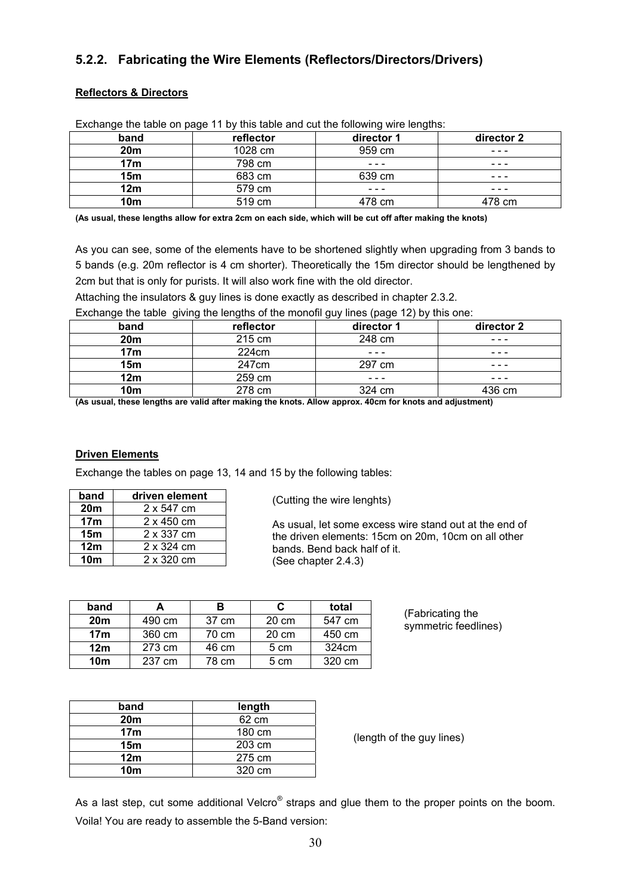# **5.2.2. Fabricating the Wire Elements (Reflectors/Directors/Drivers)**

### **Reflectors & Directors**

| band            | reflector | director 1 | director 2 |
|-----------------|-----------|------------|------------|
| 20m             | 1028 cm   | 959 cm     | - - -      |
| 17 <sub>m</sub> | 798 cm    | - - -      | ---        |
| 15 <sub>m</sub> | 683 cm    | 639 cm     | ---        |
| 12m             | 579 cm    | ---        | ---        |
| 10m             | 519 cm    | 478 cm     | 478 cm     |

Exchange the table on page 11 by this table and cut the following wire lengths:

**(As usual, these lengths allow for extra 2cm on each side, which will be cut off after making the knots)** 

As you can see, some of the elements have to be shortened slightly when upgrading from 3 bands to 5 bands (e.g. 20m reflector is 4 cm shorter). Theoretically the 15m director should be lengthened by 2cm but that is only for purists. It will also work fine with the old director.

Attaching the insulators & guy lines is done exactly as described in chapter 2.3.2.

Exchange the table giving the lengths of the monofil guy lines (page 12) by this one:

| $-$             | _         | - -<br>$\cdots$ |            |
|-----------------|-----------|-----------------|------------|
| band            | reflector | director 1      | director 2 |
| 20 <sub>m</sub> | 215 cm    | 248 cm          | - - -      |
| 17 <sub>m</sub> | 224cm     | ---             | - - -      |
| 15 <sub>m</sub> | 247cm     | 297 cm          | ---        |
| 12m             | 259 cm    | ---             | ---        |
| 10 <sub>m</sub> | 278 cm    | 324 cm          | 436 cm     |

**(As usual, these lengths are valid after making the knots. Allow approx. 40cm for knots and adjustment)**

#### **Driven Elements**

Exchange the tables on page 13, 14 and 15 by the following tables:

| band            | driven element    |
|-----------------|-------------------|
| 20 <sub>m</sub> | 2 x 547 cm        |
| 17 <sub>m</sub> | $2 \times 450$ cm |
| 15 <sub>m</sub> | 2 x 337 cm        |
| 12m             | 2 x 324 cm        |
| 10 <sub>m</sub> | 2 x 320 cm        |

(Cutting the wire lenghts)

As usual, let some excess wire stand out at the end of the driven elements: 15cm on 20m, 10cm on all other bands. Bend back half of it. (See chapter 2.4.3)

| band            | А      | в     | C     | total  |
|-----------------|--------|-------|-------|--------|
| 20 <sub>m</sub> | 490 cm | 37 cm | 20 cm | 547 cm |
| 17 <sub>m</sub> | 360 cm | 70 cm | 20 cm | 450 cm |
| 12 <sub>m</sub> | 273 cm | 46 cm | 5 cm  | 324cm  |
| 10 <sub>m</sub> | 237 cm | 78 cm | 5 cm  | 320 cm |

(Fabricating the symmetric feedlines)

| band            | length |
|-----------------|--------|
| 20 <sub>m</sub> | 62 cm  |
| 17 <sub>m</sub> | 180 cm |
| 15 <sub>m</sub> | 203 cm |
| 12 <sub>m</sub> | 275 cm |
| 10 <sub>m</sub> | 320 cm |

(length of the guy lines)

As a last step, cut some additional Velcro $^{\circ}$  straps and glue them to the proper points on the boom. Voila! You are ready to assemble the 5-Band version: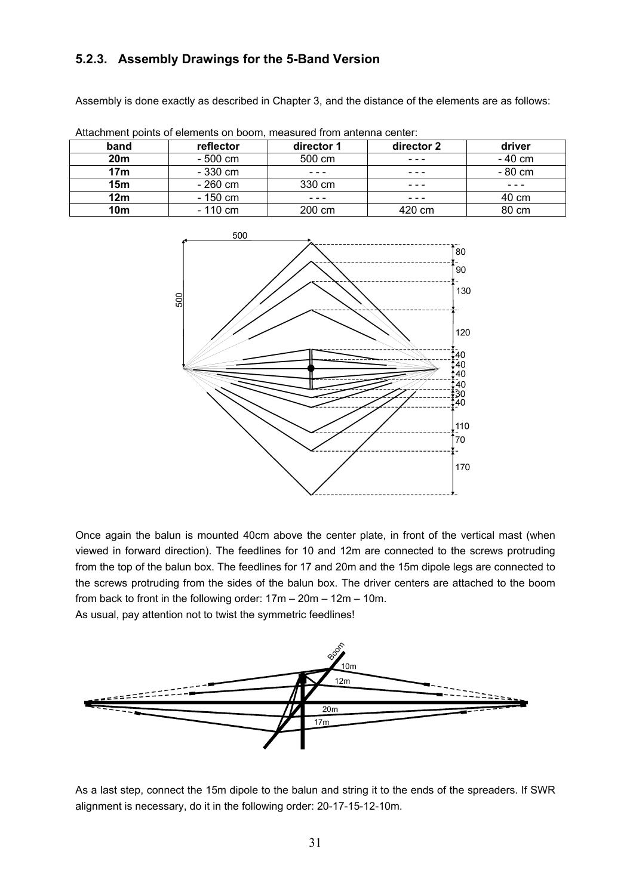# **5.2.3. Assembly Drawings for the 5-Band Version**

Assembly is done exactly as described in Chapter 3, and the distance of the elements are as follows:

| band            | reflector | director 1 | director 2 | driver  |
|-----------------|-----------|------------|------------|---------|
| <b>20m</b>      | - 500 cm  | 500 cm     |            | - 40 cm |
| 17 <sub>m</sub> | - 330 cm  | - - -      | - - -      | - 80 cm |
| 15 <sub>m</sub> | - 260 cm  | 330 cm     | ---        | ---     |
| 12 <sub>m</sub> | - 150 cm  |            |            | 40 cm   |
| 10m             | $-110$ cm | 200 cm     | 420 cm     | 80 cm   |

Attachment points of elements on boom, measured from antenna center:



Once again the balun is mounted 40cm above the center plate, in front of the vertical mast (when viewed in forward direction). The feedlines for 10 and 12m are connected to the screws protruding from the top of the balun box. The feedlines for 17 and 20m and the 15m dipole legs are connected to the screws protruding from the sides of the balun box. The driver centers are attached to the boom from back to front in the following order: 17m – 20m – 12m – 10m.

As usual, pay attention not to twist the symmetric feedlines!



As a last step, connect the 15m dipole to the balun and string it to the ends of the spreaders. If SWR alignment is necessary, do it in the following order: 20-17-15-12-10m.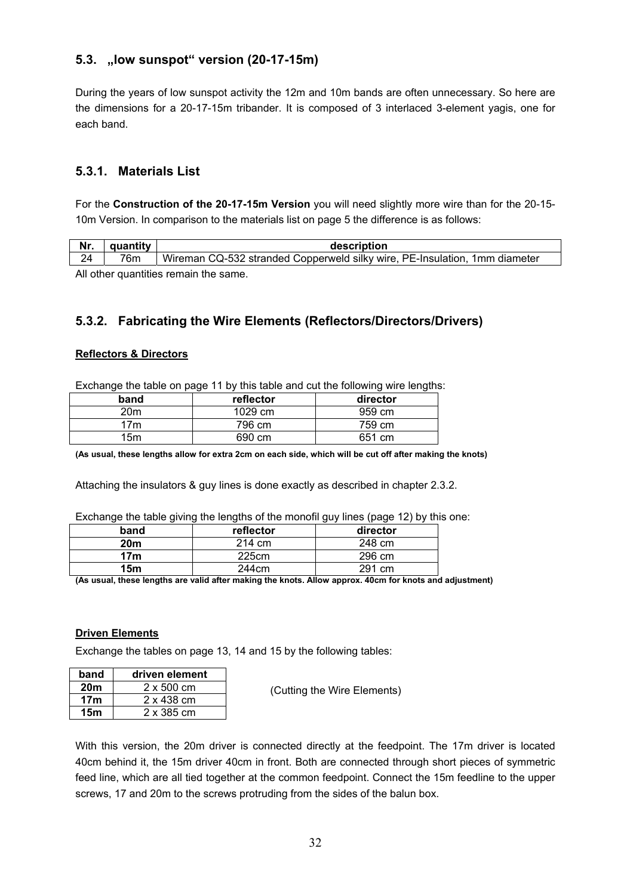### **5.3. "low sunspot" version (20-17-15m)**

During the years of low sunspot activity the 12m and 10m bands are often unnecessary. So here are the dimensions for a 20-17-15m tribander. It is composed of 3 interlaced 3-element yagis, one for each band.

### **5.3.1. Materials List**

For the **Construction of the 20-17-15m Version** you will need slightly more wire than for the 20-15- 10m Version. In comparison to the materials list on page 5 the difference is as follows:

| Nr. | quantity | description                                                                |  |  |
|-----|----------|----------------------------------------------------------------------------|--|--|
| 24  | 76m      | Wireman CQ-532 stranded Copperweld silky wire, PE-Insulation, 1mm diameter |  |  |

All other quantities remain the same.

# **5.3.2. Fabricating the Wire Elements (Reflectors/Directors/Drivers)**

### **Reflectors & Directors**

Exchange the table on page 11 by this table and cut the following wire lengths:

| band            | reflector | director |
|-----------------|-----------|----------|
| 20 <sub>m</sub> | 1029 cm   | 959 cm   |
| 7 <sub>m</sub>  | 796 cm    | 759 cm   |
| 15m             | 690 cm    | 651 cm   |

**(As usual, these lengths allow for extra 2cm on each side, which will be cut off after making the knots)** 

Attaching the insulators & guy lines is done exactly as described in chapter 2.3.2.

Exchange the table giving the lengths of the monofil guy lines (page 12) by this one:

| band | reflector | director |
|------|-----------|----------|
| 20m  | 214 cm    | 248 cm   |
| 17m  | 225cm     | 296 cm   |
| 15m  | 244cm     | 291 cm   |

**(As usual, these lengths are valid after making the knots. Allow approx. 40cm for knots and adjustment)**

#### **Driven Elements**

Exchange the tables on page 13, 14 and 15 by the following tables:

| band            | driven element    |
|-----------------|-------------------|
| 20 <sub>m</sub> | $2 \times 500$ cm |
| 17 <sub>m</sub> | 2 x 438 cm        |
| 15m             | 2 x 385 cm        |

(Cutting the Wire Elements)

With this version, the 20m driver is connected directly at the feedpoint. The 17m driver is located 40cm behind it, the 15m driver 40cm in front. Both are connected through short pieces of symmetric feed line, which are all tied together at the common feedpoint. Connect the 15m feedline to the upper screws, 17 and 20m to the screws protruding from the sides of the balun box.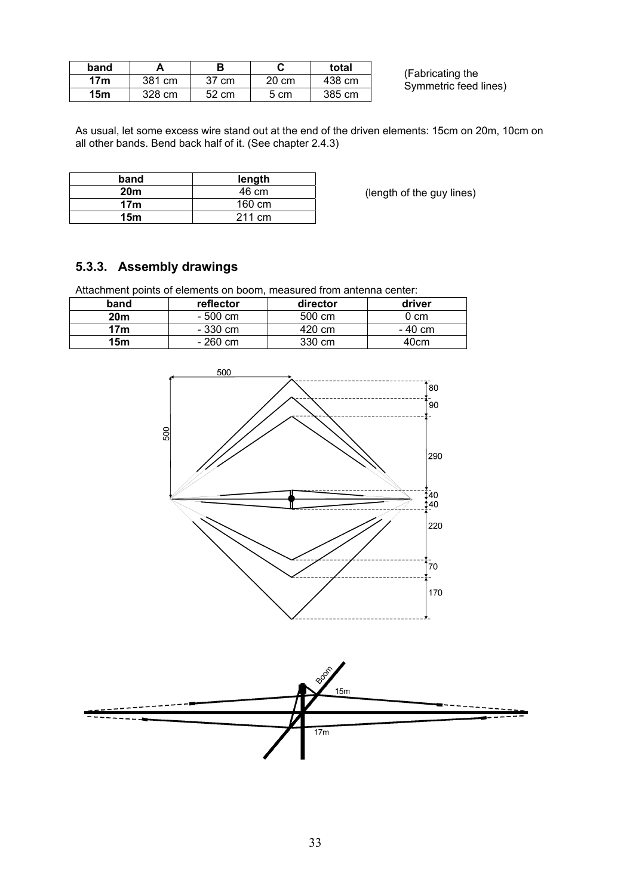| band |        |       |       | total  |
|------|--------|-------|-------|--------|
| 17m  | 381 cm | 37 cm | 20 cm | 438 cm |
| 15m  | 328 cm | 52 cm | 5 cm  | 385 cm |

(Fabricating the Symmetric feed lines)

As usual, let some excess wire stand out at the end of the driven elements: 15cm on 20m, 10cm on all other bands. Bend back half of it. (See chapter 2.4.3)

| band            | length |  |
|-----------------|--------|--|
| 20 <sub>m</sub> | 46 cm  |  |
| 17 <sub>m</sub> | 160 cm |  |
| 15 <sub>m</sub> | 211 cm |  |

(length of the guy lines)

# **5.3.3. Assembly drawings**

Attachment points of elements on boom, measured from antenna center:

| band            | reflector<br>director |        | driver  |  |
|-----------------|-----------------------|--------|---------|--|
| 20m             | - 500 cm              |        | 0 cm    |  |
| 17m<br>- 330 cm |                       | 420 cm | - 40 cm |  |
| 15m             | - 260 cm              | 330 cm | 40cm    |  |



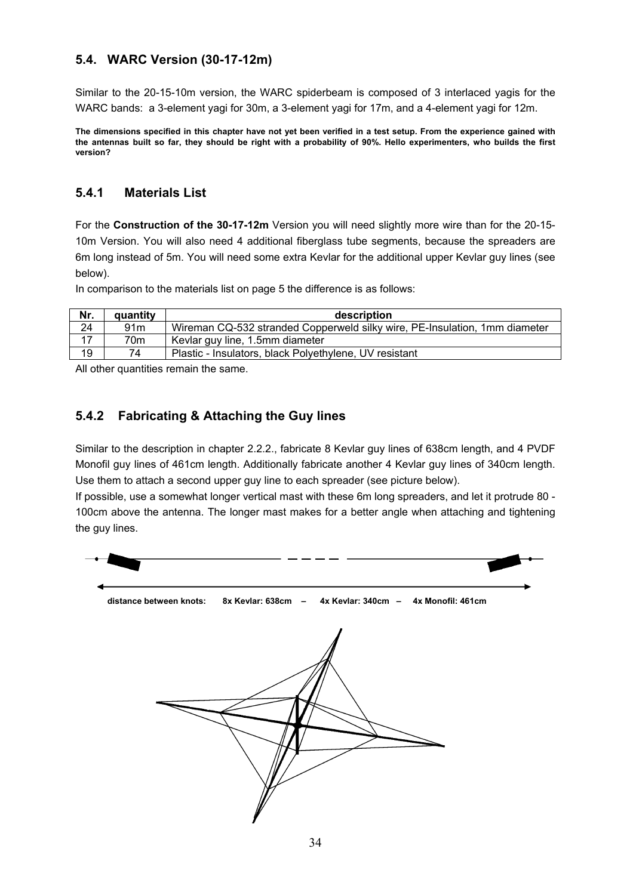# **5.4. WARC Version (30-17-12m)**

Similar to the 20-15-10m version, the WARC spiderbeam is composed of 3 interlaced yagis for the WARC bands: a 3-element yagi for 30m, a 3-element yagi for 17m, and a 4-element yagi for 12m.

**The dimensions specified in this chapter have not yet been verified in a test setup. From the experience gained with the antennas built so far, they should be right with a probability of 90%. Hello experimenters, who builds the first version?** 

### **5.4.1 Materials List**

For the **Construction of the 30-17-12m** Version you will need slightly more wire than for the 20-15- 10m Version. You will also need 4 additional fiberglass tube segments, because the spreaders are 6m long instead of 5m. You will need some extra Kevlar for the additional upper Kevlar guy lines (see below).

In comparison to the materials list on page 5 the difference is as follows:

| Nr. | quantity        | description                                                                |
|-----|-----------------|----------------------------------------------------------------------------|
| 24  | 91 <sub>m</sub> | Wireman CQ-532 stranded Copperweld silky wire, PE-Insulation, 1mm diameter |
| 17  | 70m             | Kevlar guy line, 1.5mm diameter                                            |
| 19  | 74              | Plastic - Insulators, black Polyethylene, UV resistant                     |

All other quantities remain the same.

### **5.4.2 Fabricating & Attaching the Guy lines**

Similar to the description in chapter 2.2.2., fabricate 8 Kevlar guy lines of 638cm length, and 4 PVDF Monofil guy lines of 461cm length. Additionally fabricate another 4 Kevlar guy lines of 340cm length. Use them to attach a second upper guy line to each spreader (see picture below).

If possible, use a somewhat longer vertical mast with these 6m long spreaders, and let it protrude 80 - 100cm above the antenna. The longer mast makes for a better angle when attaching and tightening the guy lines.

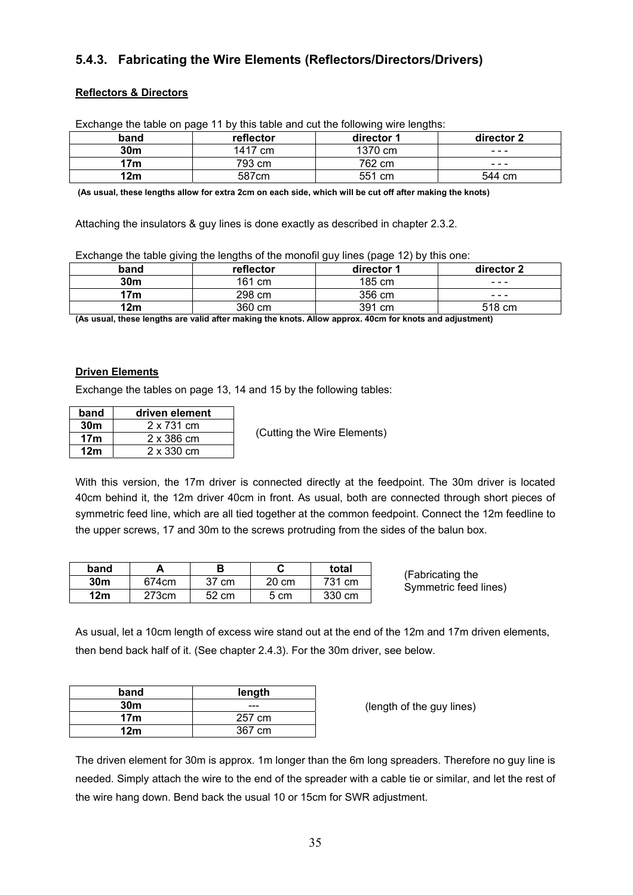# **5.4.3. Fabricating the Wire Elements (Reflectors/Directors/Drivers)**

### **Reflectors & Directors**

| band            | reflector<br>director 1 |         | director 2 |  |  |
|-----------------|-------------------------|---------|------------|--|--|
| 30 <sub>m</sub> | 1417 cm                 | 1370 cm | ---        |  |  |
| 793 cm<br>17m   |                         | 762 cm  | ---        |  |  |
| 12m             | 587cm                   | 551 cm  | 544 cm     |  |  |

Exchange the table on page 11 by this table and cut the following wire lengths:

 **(As usual, these lengths allow for extra 2cm on each side, which will be cut off after making the knots)** 

Attaching the insulators & guy lines is done exactly as described in chapter 2.3.2.

Exchange the table giving the lengths of the monofil guy lines (page 12) by this one:

| band            | reflector<br>director 1 |        | director 2 |
|-----------------|-------------------------|--------|------------|
| 30 <sub>m</sub> | 161 cm                  | 185 cm | ---        |
| 298 cm<br>17m   |                         | 356 cm | ---        |
| 12m             | 360 cm                  | 391 cm | 518 cm     |

**(As usual, these lengths are valid after making the knots. Allow approx. 40cm for knots and adjustment)**

#### **Driven Elements**

Exchange the tables on page 13, 14 and 15 by the following tables:

| band            | driven element |  |  |
|-----------------|----------------|--|--|
| 30m             | 2 x 731 cm     |  |  |
| 17 <sub>m</sub> | 2 x 386 cm     |  |  |
| 12m             | 2 x 330 cm     |  |  |

(Cutting the Wire Elements)

With this version, the 17m driver is connected directly at the feedpoint. The 30m driver is located 40cm behind it, the 12m driver 40cm in front. As usual, both are connected through short pieces of symmetric feed line, which are all tied together at the common feedpoint. Connect the 12m feedline to the upper screws, 17 and 30m to the screws protruding from the sides of the balun box.

| band            |       |       |       | total  |
|-----------------|-------|-------|-------|--------|
| 30 <sub>m</sub> | 674cm | 37 cm | 20 cm | 731 cm |
| 12m             | 273cm | 52 cm | 5 cm  | 330 cm |

(Fabricating the Symmetric feed lines)

As usual, let a 10cm length of excess wire stand out at the end of the 12m and 17m driven elements, then bend back half of it. (See chapter 2.4.3). For the 30m driver, see below.

| band            | length |  |
|-----------------|--------|--|
| 30 <sub>m</sub> | ---    |  |
| 17 <sub>m</sub> | 257 cm |  |
| 12m             | 367 cm |  |

(length of the guy lines)

The driven element for 30m is approx. 1m longer than the 6m long spreaders. Therefore no guy line is needed. Simply attach the wire to the end of the spreader with a cable tie or similar, and let the rest of the wire hang down. Bend back the usual 10 or 15cm for SWR adjustment.